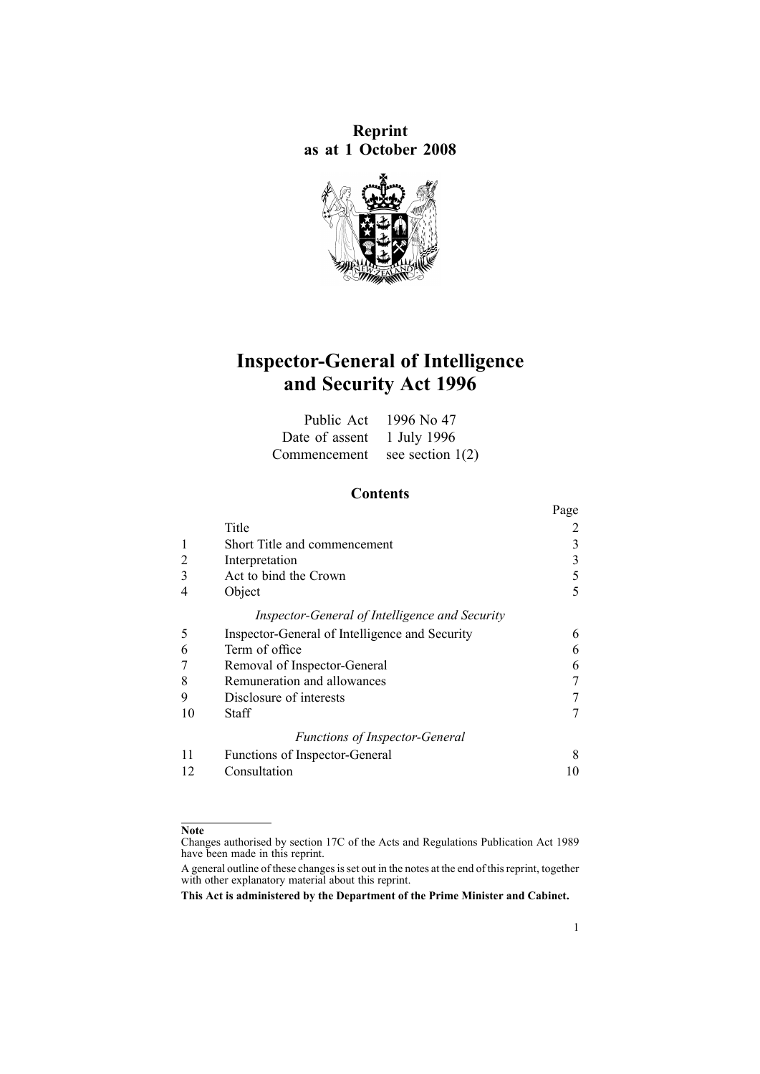**Reprint as at 1 October 2008**



# **Inspector-General of Intelligence and Security Act 1996**

|                                 | Public Act 1996 No 47 |
|---------------------------------|-----------------------|
| Date of assent 1 July 1996      |                       |
| Commencement see section $1(2)$ |                       |

#### **Contents**

|    |                                                | Page |
|----|------------------------------------------------|------|
|    | Title                                          |      |
|    | Short Title and commencement                   | 3    |
|    | Interpretation                                 | 3    |
| 3  | Act to bind the Crown                          | 5    |
|    | Object                                         | 5    |
|    | Inspector-General of Intelligence and Security |      |
| 5  | Inspector-General of Intelligence and Security | 6    |
| 6  | Term of office                                 | 6    |
|    | Removal of Inspector-General                   | 6    |
| 8  | Remuneration and allowances                    |      |
| 9  | Disclosure of interests                        |      |
| 10 | Staff                                          |      |
|    | <b>Functions of Inspector-General</b>          |      |
| 11 | Functions of Inspector-General                 | 8    |
| 12 | Consultation                                   | 10   |

#### **Note**

Changes authorised by [section](http://www.legislation.govt.nz/pdflink.aspx?id=DLM195466) 17C of the Acts and Regulations Publication Act 1989 have been made in this reprint.

A general outline of these changes is set out in the notes at the end of this reprint, together with other explanatory material about this reprint.

**This Act is administered by the Department of the Prime Minister and Cabinet.**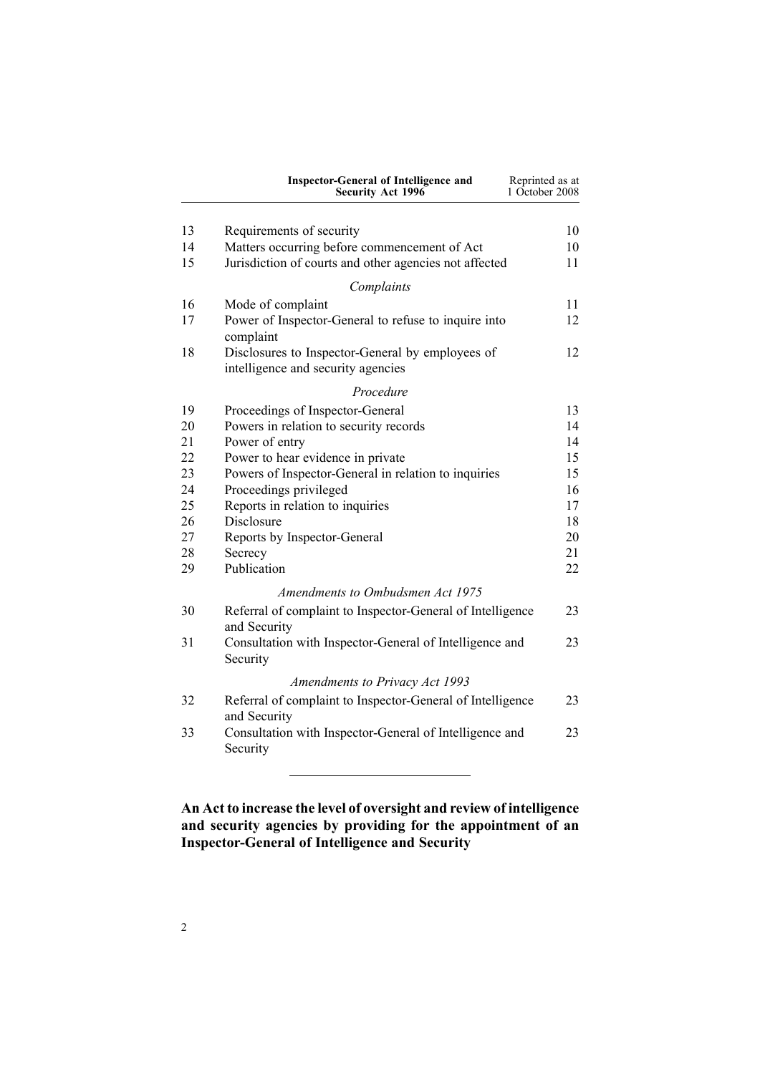<span id="page-1-0"></span>

|    | <b>Inspector-General of Intelligence and</b><br>Security Act 1996                      | Reprinted as at<br>1 October 2008 |
|----|----------------------------------------------------------------------------------------|-----------------------------------|
| 13 | Requirements of security                                                               | 10                                |
| 14 | Matters occurring before commencement of Act                                           | 10                                |
| 15 | Jurisdiction of courts and other agencies not affected                                 | 11                                |
|    | Complaints                                                                             |                                   |
| 16 | Mode of complaint                                                                      | 11                                |
| 17 | Power of Inspector-General to refuse to inquire into<br>complaint                      | 12                                |
| 18 | Disclosures to Inspector-General by employees of<br>intelligence and security agencies | 12                                |
|    | Procedure                                                                              |                                   |
| 19 | Proceedings of Inspector-General                                                       | 13                                |
| 20 | Powers in relation to security records                                                 | 14                                |
| 21 | Power of entry                                                                         | 14                                |
| 22 | Power to hear evidence in private                                                      | 15                                |
| 23 | Powers of Inspector-General in relation to inquiries                                   | 15                                |
| 24 | Proceedings privileged                                                                 | 16                                |
| 25 | Reports in relation to inquiries                                                       | 17                                |
| 26 | Disclosure                                                                             | 18                                |
| 27 | Reports by Inspector-General                                                           | 20                                |
| 28 | Secrecy                                                                                | 21                                |
| 29 | Publication                                                                            | 22                                |
|    | Amendments to Ombudsmen Act 1975                                                       |                                   |
| 30 | Referral of complaint to Inspector-General of Intelligence<br>and Security             | 23                                |
| 31 | Consultation with Inspector-General of Intelligence and<br>Security                    | 23                                |
|    | <b>Amendments to Privacy Act 1993</b>                                                  |                                   |
| 32 | Referral of complaint to Inspector-General of Intelligence<br>and Security             | 23                                |
| 33 | Consultation with Inspector-General of Intelligence and<br>Security                    | 23                                |
|    |                                                                                        |                                   |

## **An Act to increase the level of oversight and review of intelligence and security agencies by providing for the appointment of an Inspector-General of Intelligence and Security**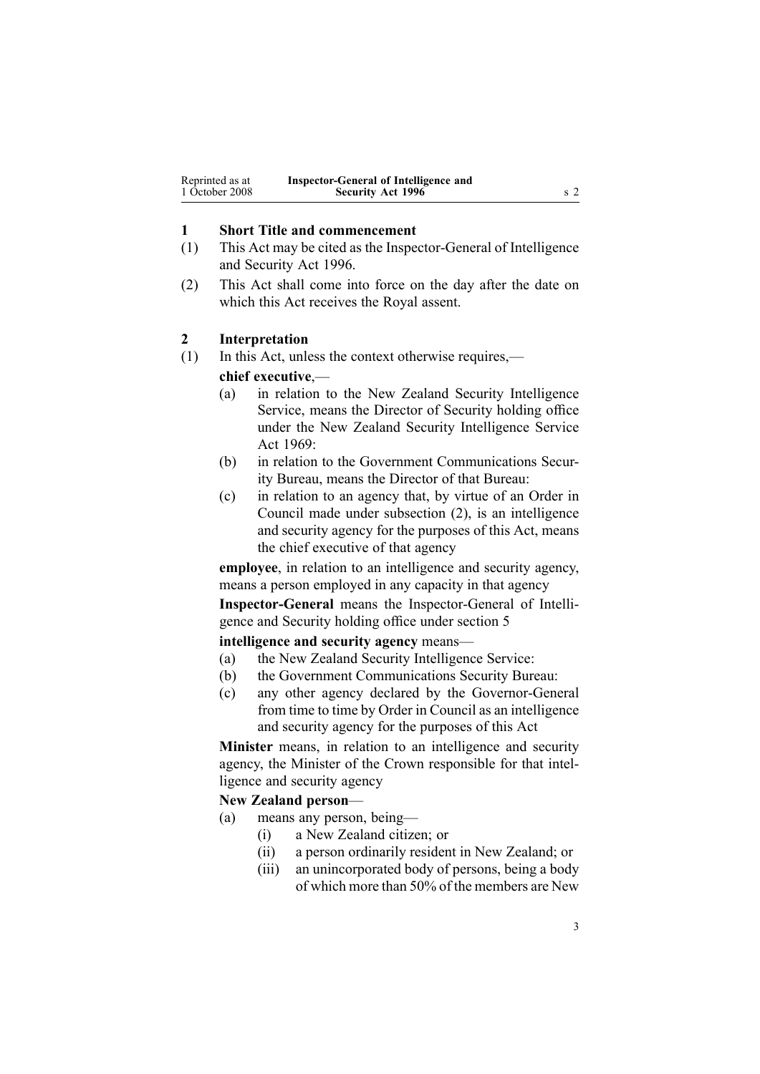<span id="page-2-0"></span>

| Reprinted as at | Inspector-General of Intelligence and |  |
|-----------------|---------------------------------------|--|
| 1 October 2008  | <b>Security Act 1996</b>              |  |

### **1 Short Title and commencement**

- (1) This Act may be cited as the Inspector-General of Intelligence and Security Act 1996.
- (2) This Act shall come into force on the day after the date on which this Act receives the Royal assent.

#### **2 Interpretation**

(1) In this Act, unless the context otherwise requires,—

#### **chief executive**,—

- (a) in relation to the New Zealand Security Intelligence Service, means the Director of Security holding office under the New Zealand Security [Intelligence](http://www.legislation.govt.nz/pdflink.aspx?id=DLM391605) Service Act [1969](http://www.legislation.govt.nz/pdflink.aspx?id=DLM391605):
- (b) in relation to the Government Communications Security Bureau, means the Director of that Bureau:
- (c) in relation to an agency that, by virtue of an Order in Council made under subsection (2), is an intelligence and security agency for the purposes of this Act, means the chief executive of that agency

**employee**, in relation to an intelligence and security agency, means <sup>a</sup> person employed in any capacity in that agency

**Inspector-General** means the Inspector-General of Intelligence and Security holding office under [section](#page-5-0) 5

#### **intelligence and security agency** means—

- (a) the New Zealand Security Intelligence Service:
- (b) the Government Communications Security Bureau:
- (c) any other agency declared by the Governor-General from time to time by Order in Council as an intelligence and security agency for the purposes of this Act

**Minister** means, in relation to an intelligence and security agency, the Minister of the Crown responsible for that intelligence and security agency

#### **New Zealand person**—

- (a) means any person, being—
	- (i) <sup>a</sup> New Zealand citizen; or
	- (ii) <sup>a</sup> person ordinarily resident in New Zealand; or
	- (iii) an unincorporated body of persons, being <sup>a</sup> body of which more than 50% of the members are New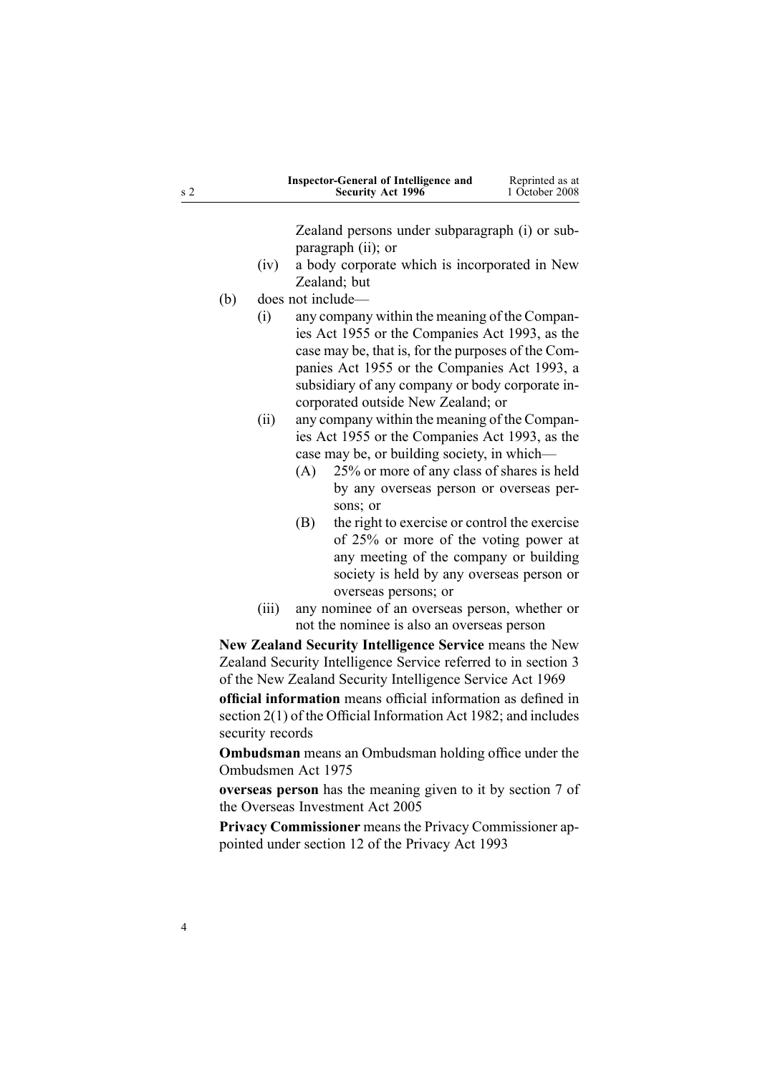|     |             |     | <b>Inspector-General of Intelligence and</b><br>Security Act 1996                                                                                                                                                                                                                                                                                                                                                                                                                                                                                     | Reprinted as at<br>1 October 2008 |
|-----|-------------|-----|-------------------------------------------------------------------------------------------------------------------------------------------------------------------------------------------------------------------------------------------------------------------------------------------------------------------------------------------------------------------------------------------------------------------------------------------------------------------------------------------------------------------------------------------------------|-----------------------------------|
|     |             |     | Zealand persons under subparagraph (i) or sub-<br>paragraph (ii); or                                                                                                                                                                                                                                                                                                                                                                                                                                                                                  |                                   |
|     | (iv)        |     | a body corporate which is incorporated in New                                                                                                                                                                                                                                                                                                                                                                                                                                                                                                         |                                   |
|     |             |     | Zealand; but                                                                                                                                                                                                                                                                                                                                                                                                                                                                                                                                          |                                   |
| (b) |             |     | does not include-                                                                                                                                                                                                                                                                                                                                                                                                                                                                                                                                     |                                   |
|     | (i)<br>(ii) | (A) | any company within the meaning of the Compan-<br>ies Act 1955 or the Companies Act 1993, as the<br>case may be, that is, for the purposes of the Com-<br>panies Act 1955 or the Companies Act 1993, a<br>subsidiary of any company or body corporate in-<br>corporated outside New Zealand; or<br>any company within the meaning of the Compan-<br>ies Act 1955 or the Companies Act 1993, as the<br>case may be, or building society, in which-<br>25% or more of any class of shares is held<br>by any overseas person or overseas per-<br>sons; or |                                   |
|     |             | (B) | the right to exercise or control the exercise<br>of 25% or more of the voting power at<br>any meeting of the company or building<br>society is held by any overseas person or<br>overseas persons; or                                                                                                                                                                                                                                                                                                                                                 |                                   |
|     | (iii)       |     | any nominee of an overseas person, whether or                                                                                                                                                                                                                                                                                                                                                                                                                                                                                                         |                                   |
|     |             |     | not the nominee is also an overseas person                                                                                                                                                                                                                                                                                                                                                                                                                                                                                                            |                                   |
|     |             |     | New Zealand Security Intelligence Service means the New                                                                                                                                                                                                                                                                                                                                                                                                                                                                                               |                                   |
|     |             |     | Zealand Security Intelligence Service referred to in section 3<br>of the New Zealand Security Intelligence Service Act 1969                                                                                                                                                                                                                                                                                                                                                                                                                           |                                   |
|     |             |     | official information means official information as defined in                                                                                                                                                                                                                                                                                                                                                                                                                                                                                         |                                   |

**official information** means official information as defined in [section](http://www.legislation.govt.nz/pdflink.aspx?id=DLM65309) 2(1) of the Official Information Act 1982; and includes security records

**Ombudsman** means an Ombudsman holding office under the [Ombudsmen](http://www.legislation.govt.nz/pdflink.aspx?id=DLM430983) Act 1975

**overseas person** has the meaning given to it by [section](http://www.legislation.govt.nz/pdflink.aspx?id=DLM357794) 7 of the Overseas Investment Act 2005

**Privacy Commissioner** means the Privacy Commissioner appointed under [section](http://www.legislation.govt.nz/pdflink.aspx?id=DLM297053) 12 of the Privacy Act 1993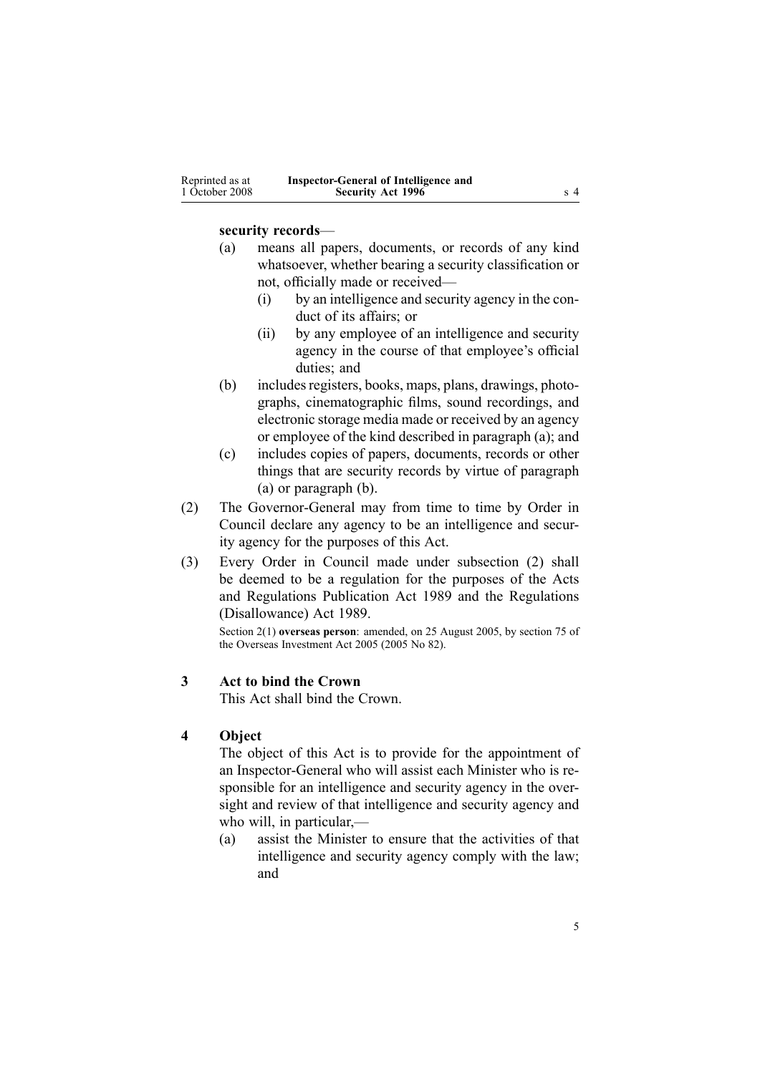<span id="page-4-0"></span>

| Reprinted as at | Inspector-General of Intelligence and |     |
|-----------------|---------------------------------------|-----|
| 1 October 2008  | <b>Security Act 1996</b>              | s 4 |

#### **security records**—

- (a) means all papers, documents, or records of any kind whatsoever, whether bearing <sup>a</sup> security classification or not, officially made or received—
	- (i) by an intelligence and security agency in the conduct of its affairs; or
	- (ii) by any employee of an intelligence and security agency in the course of that employee's official duties; and
- (b) includes registers, books, maps, plans, drawings, photographs, cinematographic films, sound recordings, and electronic storage media made or received by an agency or employee of the kind described in paragraph (a); and
- (c) includes copies of papers, documents, records or other things that are security records by virtue of paragraph (a) or paragraph (b).
- (2) The Governor-General may from time to time by Order in Council declare any agency to be an intelligence and security agency for the purposes of this Act.
- (3) Every Order in Council made under subsection (2) shall be deemed to be <sup>a</sup> regulation for the purposes of the [Acts](http://www.legislation.govt.nz/pdflink.aspx?id=DLM195097) and [Regulations](http://www.legislation.govt.nz/pdflink.aspx?id=DLM195097) Publication Act 1989 and the [Regulations](http://www.legislation.govt.nz/pdflink.aspx?id=DLM195534) [\(Disallowance\)](http://www.legislation.govt.nz/pdflink.aspx?id=DLM195534) Act 1989.

Section 2(1) **overseas person**: amended, on 25 August 2005, by [section](http://www.legislation.govt.nz/pdflink.aspx?id=DLM358540) 75 of the Overseas Investment Act 2005 (2005 No 82).

### **3 Act to bind the Crown**

This Act shall bind the Crown.

### **4 Object**

The object of this Act is to provide for the appointment of an Inspector-General who will assist each Minister who is responsible for an intelligence and security agency in the oversight and review of that intelligence and security agency and who will, in particular,—

(a) assist the Minister to ensure that the activities of that intelligence and security agency comply with the law; and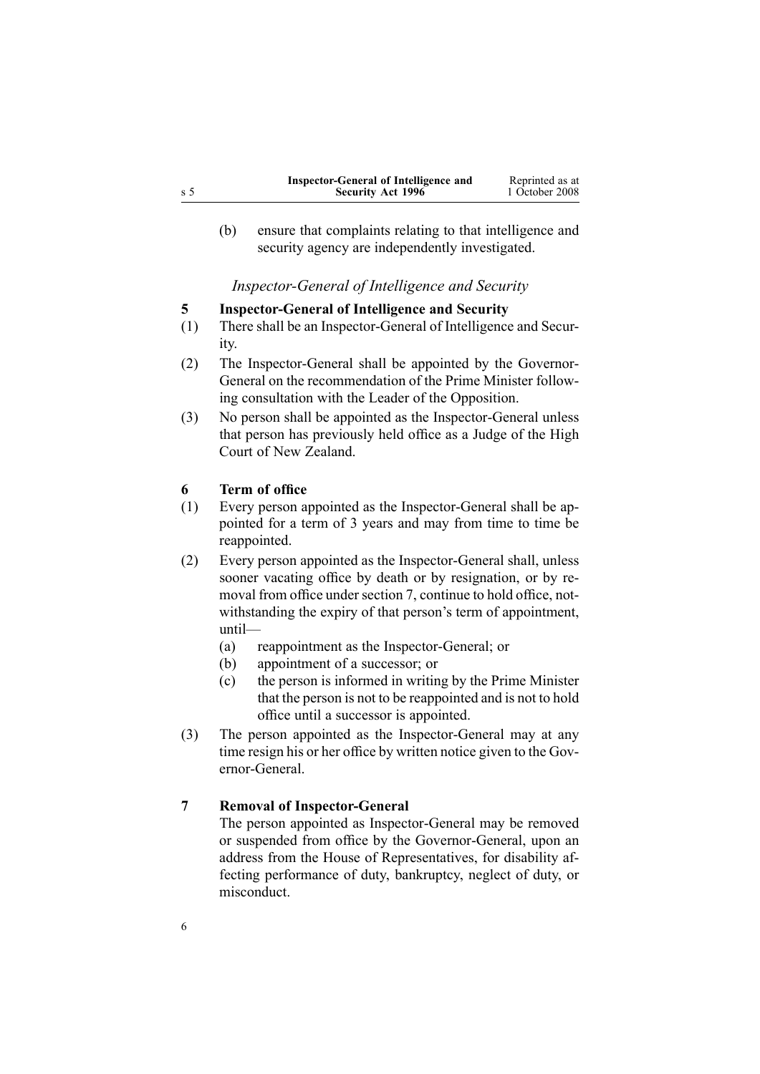<span id="page-5-0"></span>

|     | Inspector-General of Intelligence and | Reprinted as at |
|-----|---------------------------------------|-----------------|
| s 5 | <b>Security Act 1996</b>              | 1 October 2008  |

(b) ensure that complaints relating to that intelligence and security agency are independently investigated.

*Inspector-General of Intelligence and Security*

### **5 Inspector-General of Intelligence and Security**

- (1) There shall be an Inspector-General of Intelligence and Security.
- (2) The Inspector-General shall be appointed by the Governor-General on the recommendation of the Prime Minister following consultation with the Leader of the Opposition.
- (3) No person shall be appointed as the Inspector-General unless that person has previously held office as <sup>a</sup> Judge of the High Court of New Zealand.

#### **6 Term of office**

- (1) Every person appointed as the Inspector-General shall be appointed for <sup>a</sup> term of 3 years and may from time to time be reappointed.
- (2) Every person appointed as the Inspector-General shall, unless sooner vacating office by death or by resignation, or by removal from office under section 7, continue to hold office, notwithstanding the expiry of that person's term of appointment, until—
	- (a) reappointment as the Inspector-General; or
	- (b) appointment of <sup>a</sup> successor; or
	- (c) the person is informed in writing by the Prime Minister that the person is not to be reappointed and is not to hold office until <sup>a</sup> successor is appointed.
- (3) The person appointed as the Inspector-General may at any time resign his or her office by written notice given to the Governor-General.

### **7 Removal of Inspector-General**

The person appointed as Inspector-General may be removed or suspended from office by the Governor-General, upon an address from the House of Representatives, for disability affecting performance of duty, bankruptcy, neglect of duty, or misconduct.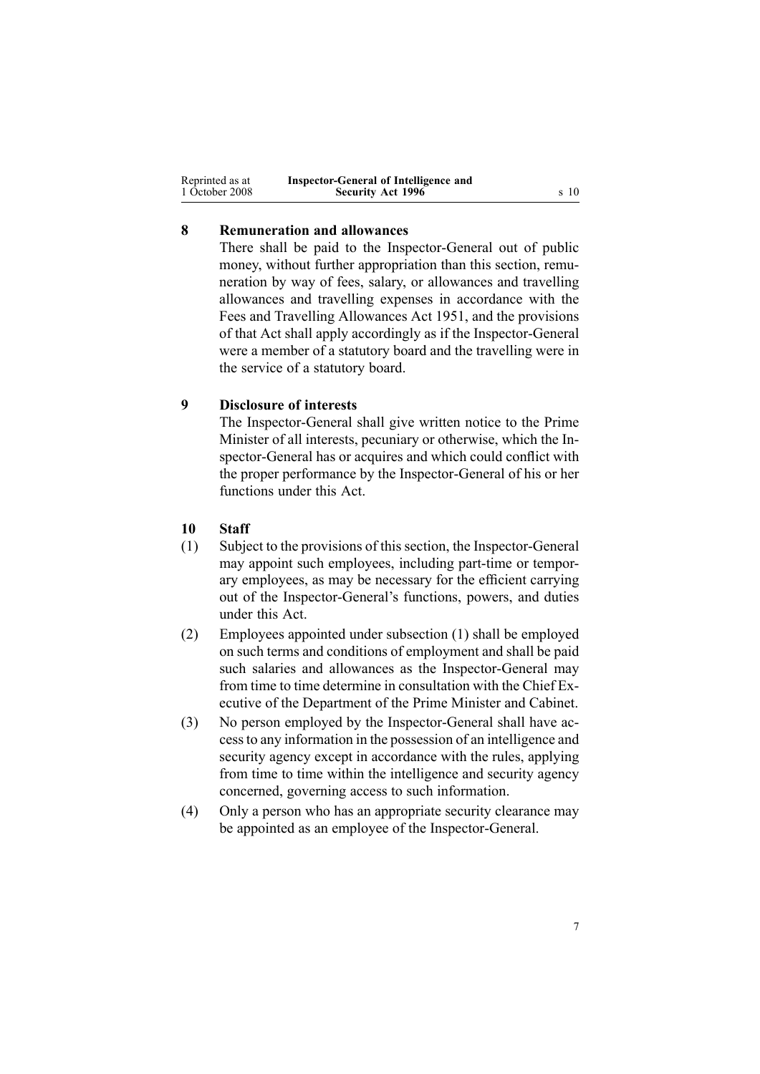<span id="page-6-0"></span>

| Reprinted as at | Inspector-General of Intelligence and |      |
|-----------------|---------------------------------------|------|
| 1 October 2008  | <b>Security Act 1996</b>              | s 10 |

### **8 Remuneration and allowances**

There shall be paid to the Inspector-General out of public money, without further appropriation than this section, remuneration by way of fees, salary, or allowances and travelling allowances and travelling expenses in accordance with the Fees and [Travelling](http://www.legislation.govt.nz/pdflink.aspx?id=DLM264952) Allowances Act 1951, and the provisions of that Act shall apply accordingly as if the Inspector-General were <sup>a</sup> member of <sup>a</sup> statutory board and the travelling were in the service of <sup>a</sup> statutory board.

### **9 Disclosure of interests**

The Inspector-General shall give written notice to the Prime Minister of all interests, pecuniary or otherwise, which the Inspector-General has or acquires and which could conflict with the proper performance by the Inspector-General of his or her functions under this Act.

### **10 Staff**

- (1) Subject to the provisions of this section, the Inspector-General may appoint such employees, including part-time or temporary employees, as may be necessary for the efficient carrying out of the Inspector-General's functions, powers, and duties under this Act.
- (2) Employees appointed under subsection (1) shall be employed on such terms and conditions of employment and shall be paid such salaries and allowances as the Inspector-General may from time to time determine in consultation with the Chief Executive of the Department of the Prime Minister and Cabinet.
- (3) No person employed by the Inspector-General shall have accessto any information in the possession of an intelligence and security agency excep<sup>t</sup> in accordance with the rules, applying from time to time within the intelligence and security agency concerned, governing access to such information.
- (4) Only <sup>a</sup> person who has an appropriate security clearance may be appointed as an employee of the Inspector-General.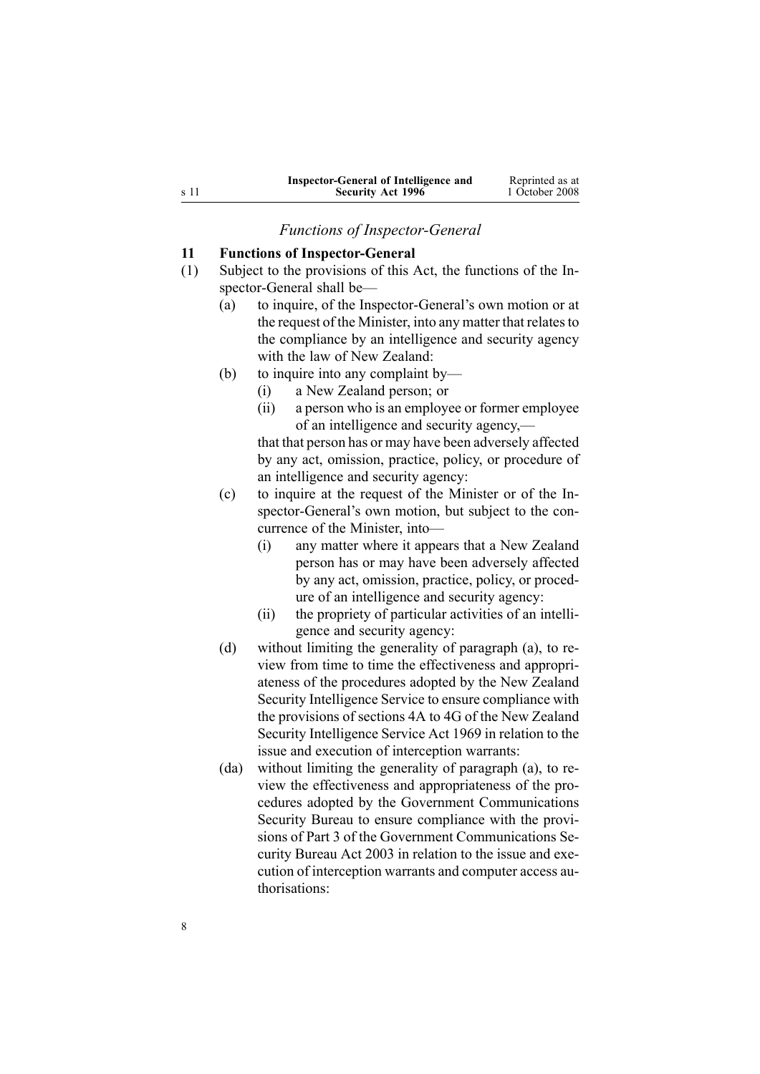<span id="page-7-0"></span>

| Inspector-General of Intelligence and | Reprinted as at |
|---------------------------------------|-----------------|
| <b>Security Act 1996</b>              | 1 October 2008  |

*Functions of Inspector-General*

### **11 Functions of Inspector-General**

- (1) Subject to the provisions of this Act, the functions of the Inspector-General shall be—
	- (a) to inquire, of the Inspector-General's own motion or at the request of the Minister, into any matter that relates to the compliance by an intelligence and security agency with the law of New Zealand:
	- (b) to inquire into any complaint by—
		- (i) <sup>a</sup> New Zealand person; or
		- (ii) <sup>a</sup> person who is an employee or former employee of an intelligence and security agency,—

that that person has or may have been adversely affected by any act, omission, practice, policy, or procedure of an intelligence and security agency:

- (c) to inquire at the reques<sup>t</sup> of the Minister or of the Inspector-General's own motion, but subject to the concurrence of the Minister, into—
	- (i) any matter where it appears that <sup>a</sup> New Zealand person has or may have been adversely affected by any act, omission, practice, policy, or procedure of an intelligence and security agency:
	- (ii) the propriety of particular activities of an intelligence and security agency:
- (d) without limiting the generality of paragraph (a), to review from time to time the effectiveness and appropriateness of the procedures adopted by the New Zealand Security Intelligence Service to ensure compliance with the provisions of [sections](http://www.legislation.govt.nz/pdflink.aspx?id=DLM391815) 4A to 4G of the New Zealand Security Intelligence Service Act 1969 in relation to the issue and execution of interception warrants:
- (da) without limiting the generality of paragraph (a), to review the effectiveness and appropriateness of the procedures adopted by the Government Communications Security Bureau to ensure compliance with the provisions of [Part](http://www.legislation.govt.nz/pdflink.aspx?id=DLM187837) 3 of the Government Communications Security Bureau Act 2003 in relation to the issue and execution of interception warrants and computer access authorisations: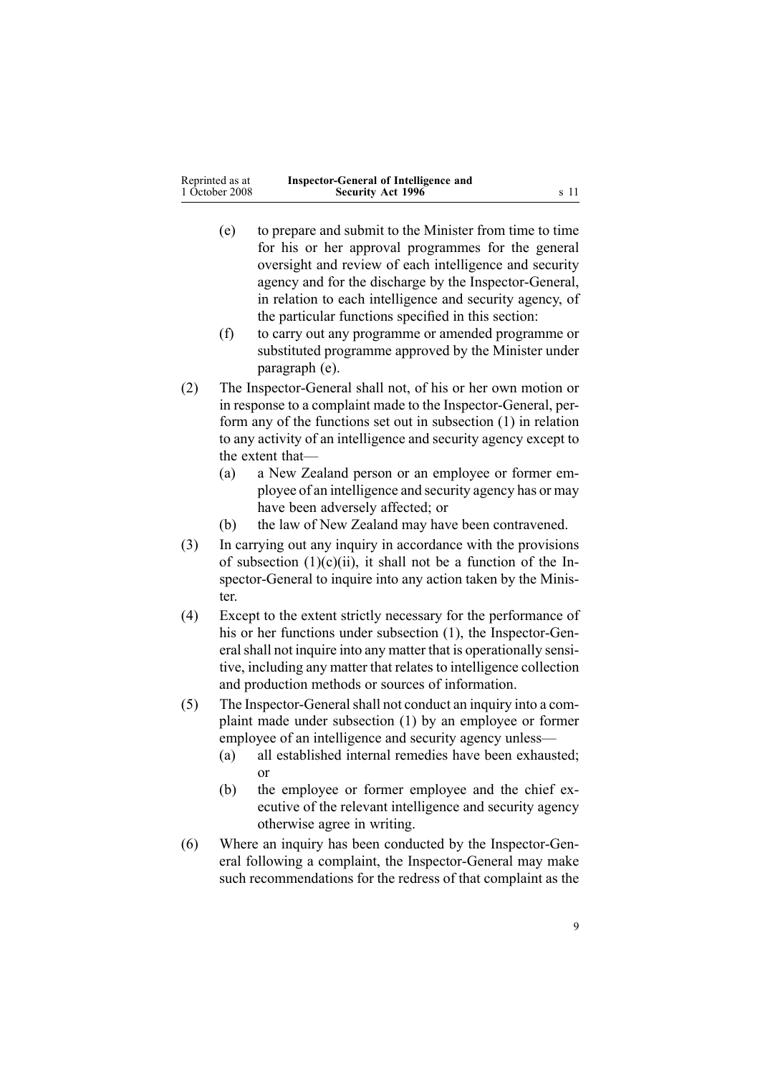| Reprinted as at | Inspector-General of Intelligence and |      |
|-----------------|---------------------------------------|------|
| 1 October 2008  | <b>Security Act 1996</b>              | s 11 |

- (e) to prepare and submit to the Minister from time to time for his or her approval programmes for the general oversight and review of each intelligence and security agency and for the discharge by the Inspector-General, in relation to each intelligence and security agency, of the particular functions specified in this section:
- (f) to carry out any programme or amended programme or substituted programme approved by the Minister under paragraph (e).
- (2) The Inspector-General shall not, of his or her own motion or in response to <sup>a</sup> complaint made to the Inspector-General, perform any of the functions set out in subsection (1) in relation to any activity of an intelligence and security agency excep<sup>t</sup> to the extent that—
	- (a) <sup>a</sup> New Zealand person or an employee or former employee of an intelligence and security agency has or may have been adversely affected; or
	- (b) the law of New Zealand may have been contravened.
- (3) In carrying out any inquiry in accordance with the provisions of subsection  $(1)(c)(ii)$ , it shall not be a function of the Inspector-General to inquire into any action taken by the Minister.
- (4) Except to the extent strictly necessary for the performance of his or her functions under subsection (1), the Inspector-General shall not inquire into any matter that is operationally sensitive, including any matter that relates to intelligence collection and production methods or sources of information.
- (5) The Inspector-Generalshall not conduct an inquiry into <sup>a</sup> complaint made under subsection (1) by an employee or former employee of an intelligence and security agency unless—
	- (a) all established internal remedies have been exhausted; or
	- (b) the employee or former employee and the chief executive of the relevant intelligence and security agency otherwise agree in writing.
- (6) Where an inquiry has been conducted by the Inspector-General following <sup>a</sup> complaint, the Inspector-General may make such recommendations for the redress of that complaint as the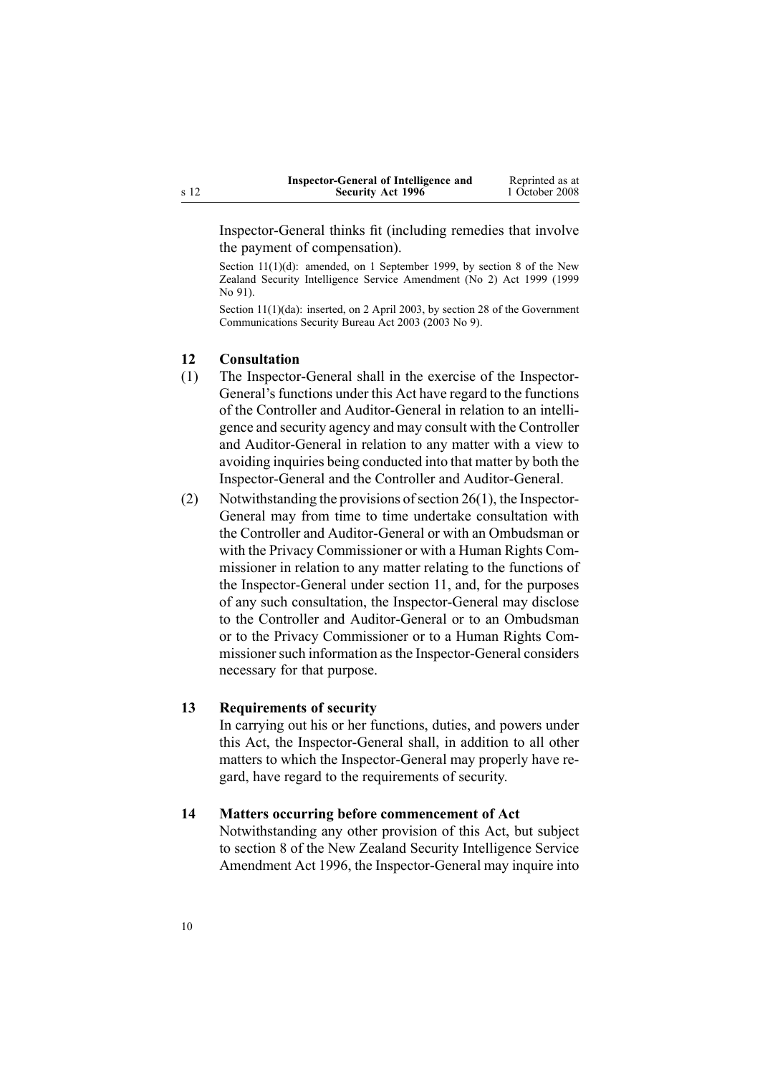| Inspector-General of Intelligence and | Reprinted as at |
|---------------------------------------|-----------------|
| <b>Security Act 1996</b>              | 1 October 2008  |

<span id="page-9-0"></span>Inspector-General thinks fit (including remedies that involve the paymen<sup>t</sup> of compensation).

Section 11(1)(d): amended, on 1 September 1999, by [section](http://www.legislation.govt.nz/pdflink.aspx?id=DLM32600) 8 of the New Zealand Security Intelligence Service Amendment (No 2) Act 1999 (1999  $No$ . 91).

Section 11(1)(da): inserted, on 2 April 2003, by [section](http://www.legislation.govt.nz/pdflink.aspx?id=DLM187859) 28 of the Government Communications Security Bureau Act 2003 (2003 No 9).

#### **12 Consultation**

- (1) The Inspector-General shall in the exercise of the Inspector-General's functions under this Act have regard to the functions of the Controller and Auditor-General in relation to an intelligence and security agency and may consult with the Controller and Auditor-General in relation to any matter with <sup>a</sup> view to avoiding inquiries being conducted into that matter by both the Inspector-General and the Controller and Auditor-General.
- (2) Notwithstanding the provisions of section  $26(1)$ , the Inspector-General may from time to time undertake consultation with the Controller and Auditor-General or with an Ombudsman or with the Privacy Commissioner or with <sup>a</sup> Human Rights Commissioner in relation to any matter relating to the functions of the Inspector-General under [section](#page-7-0) 11, and, for the purposes of any such consultation, the Inspector-General may disclose to the Controller and Auditor-General or to an Ombudsman or to the Privacy Commissioner or to <sup>a</sup> Human Rights Commissioner such information as the Inspector-General considers necessary for that purpose.

#### **13 Requirements of security**

In carrying out his or her functions, duties, and powers under this Act, the Inspector-General shall, in addition to all other matters to which the Inspector-General may properly have regard, have regard to the requirements of security.

#### **14 Matters occurring before commencement of Act**

Notwithstanding any other provision of this Act, but subject to [section](http://www.legislation.govt.nz/pdflink.aspx?id=DLM392574) 8 of the New Zealand Security Intelligence Service Amendment Act 1996, the Inspector-General may inquire into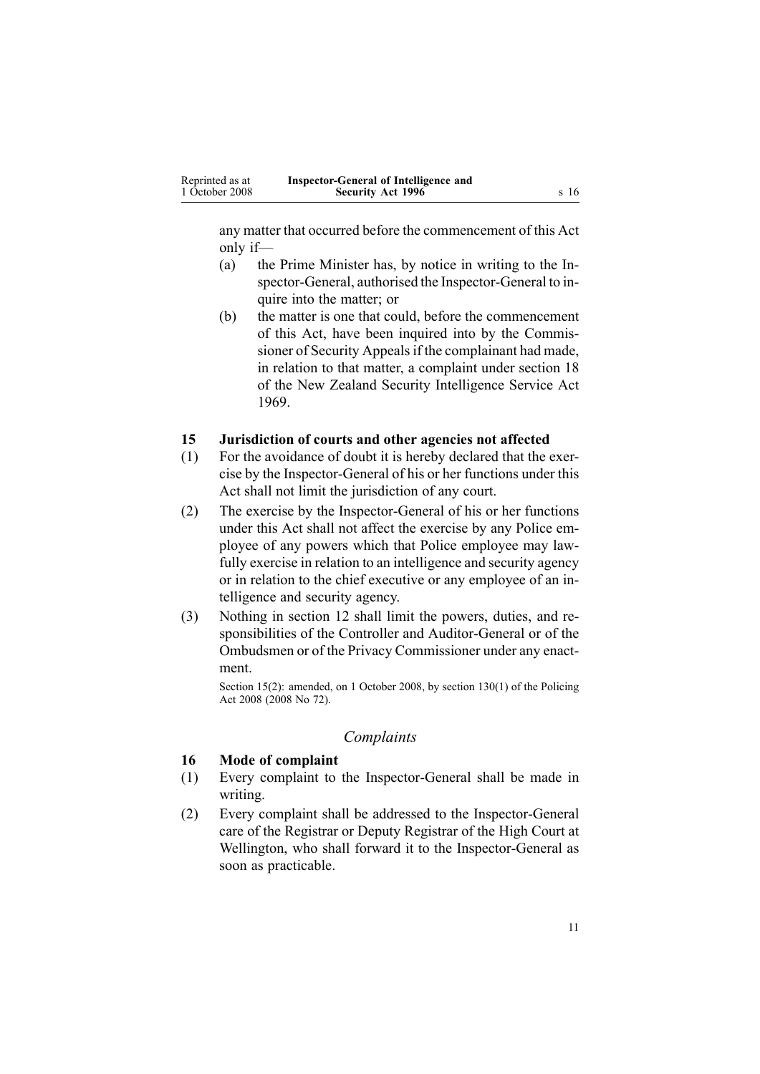<span id="page-10-0"></span>any matter that occurred before the commencement of this Act only if—

- (a) the Prime Minister has, by notice in writing to the Inspector-General, authorised the Inspector-General to inquire into the matter; or
- (b) the matter is one that could, before the commencement of this Act, have been inquired into by the Commissioner of Security Appeals if the complainant had made, in relation to that matter, <sup>a</sup> complaint under [section](http://www.legislation.govt.nz/pdflink.aspx?id=DLM392033) 18 of the New Zealand Security Intelligence Service Act 1969.

### **15 Jurisdiction of courts and other agencies not affected**

- (1) For the avoidance of doubt it is hereby declared that the exercise by the Inspector-General of his or her functions under this Act shall not limit the jurisdiction of any court.
- (2) The exercise by the Inspector-General of his or her functions under this Act shall not affect the exercise by any Police employee of any powers which that Police employee may lawfully exercise in relation to an intelligence and security agency or in relation to the chief executive or any employee of an intelligence and security agency.
- (3) Nothing in [section](#page-9-0) 12 shall limit the powers, duties, and responsibilities of the Controller and Auditor-General or of the Ombudsmen or of the Privacy Commissioner under any enactment.

Section 15(2): amended, on 1 October 2008, by section [130\(1\)](http://www.legislation.govt.nz/pdflink.aspx?id=DLM1102383) of the Policing Act 2008 (2008 No 72).

#### *Complaints*

### **16 Mode of complaint**

- (1) Every complaint to the Inspector-General shall be made in writing.
- (2) Every complaint shall be addressed to the Inspector-General care of the Registrar or Deputy Registrar of the High Court at Wellington, who shall forward it to the Inspector-General as soon as practicable.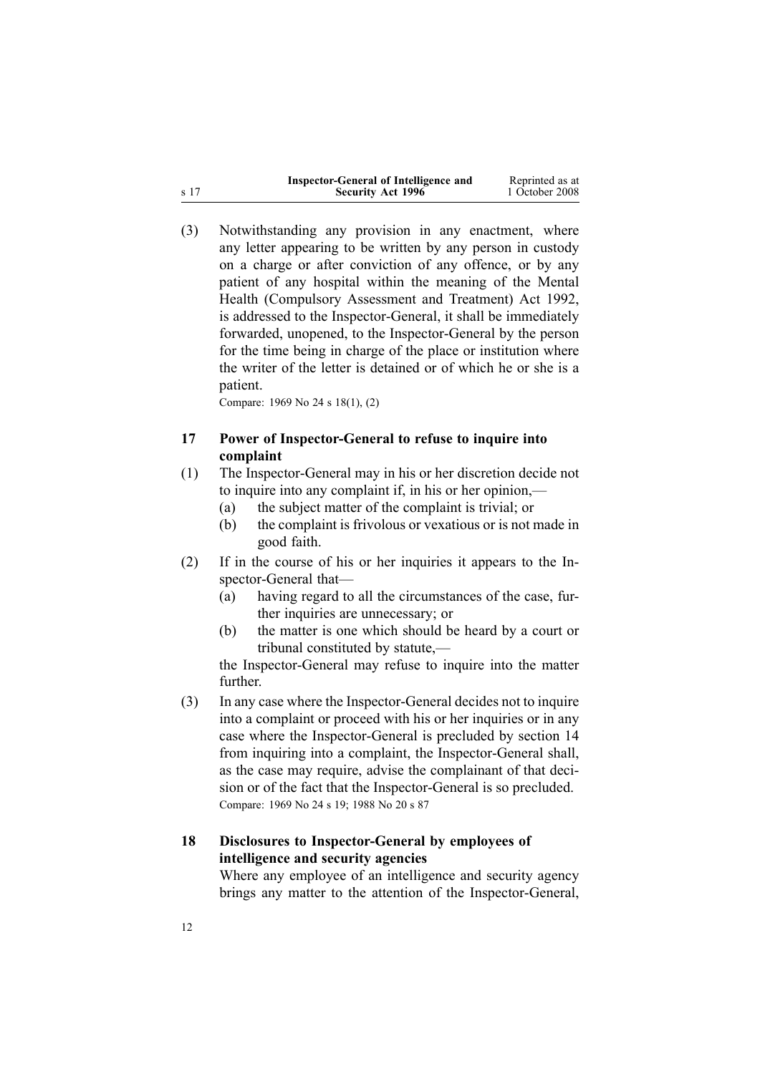<span id="page-11-0"></span>

|      | Inspector-General of Intelligence and | Reprinted as at |
|------|---------------------------------------|-----------------|
| s 17 | <b>Security Act 1996</b>              | 1 October 2008  |

(3) Notwithstanding any provision in any enactment, where any letter appearing to be written by any person in custody on <sup>a</sup> charge or after conviction of any offence, or by any patient of any hospital within the meaning of the [Mental](http://www.legislation.govt.nz/pdflink.aspx?id=DLM262706) Health [\(Compulsory](http://www.legislation.govt.nz/pdflink.aspx?id=DLM262706) Assessment and Treatment) Act 1992, is addressed to the Inspector-General, it shall be immediately forwarded, unopened, to the Inspector-General by the person for the time being in charge of the place or institution where the writer of the letter is detained or of which he or she is <sup>a</sup> patient.

Compare: 1969 No 24 <sup>s</sup> [18\(1\),](http://www.legislation.govt.nz/pdflink.aspx?id=DLM392033) (2)

### **17 Power of Inspector-General to refuse to inquire into complaint**

- (1) The Inspector-General may in his or her discretion decide not to inquire into any complaint if, in his or her opinion,—
	- (a) the subject matter of the complaint is trivial; or
	- (b) the complaint is frivolous or vexatious or is not made in good faith.
- (2) If in the course of his or her inquiries it appears to the Inspector-General that—
	- (a) having regard to all the circumstances of the case, further inquiries are unnecessary; or
	- (b) the matter is one which should be heard by <sup>a</sup> court or tribunal constituted by statute,—

the Inspector-General may refuse to inquire into the matter further.

(3) In any case where the Inspector-General decides not to inquire into <sup>a</sup> complaint or proceed with his or her inquiries or in any case where the Inspector-General is precluded by [section](#page-9-0) 14 from inquiring into <sup>a</sup> complaint, the Inspector-General shall, as the case may require, advise the complainant of that decision or of the fact that the Inspector-General is so precluded. Compare: 1969 No 24 <sup>s</sup> [19](http://www.legislation.govt.nz/pdflink.aspx?id=DLM392036); 1988 No 20 <sup>s</sup> [87](http://www.legislation.govt.nz/pdflink.aspx?id=DLM130374)

### **18 Disclosures to Inspector-General by employees of intelligence and security agencies**

Where any employee of an intelligence and security agency brings any matter to the attention of the Inspector-General,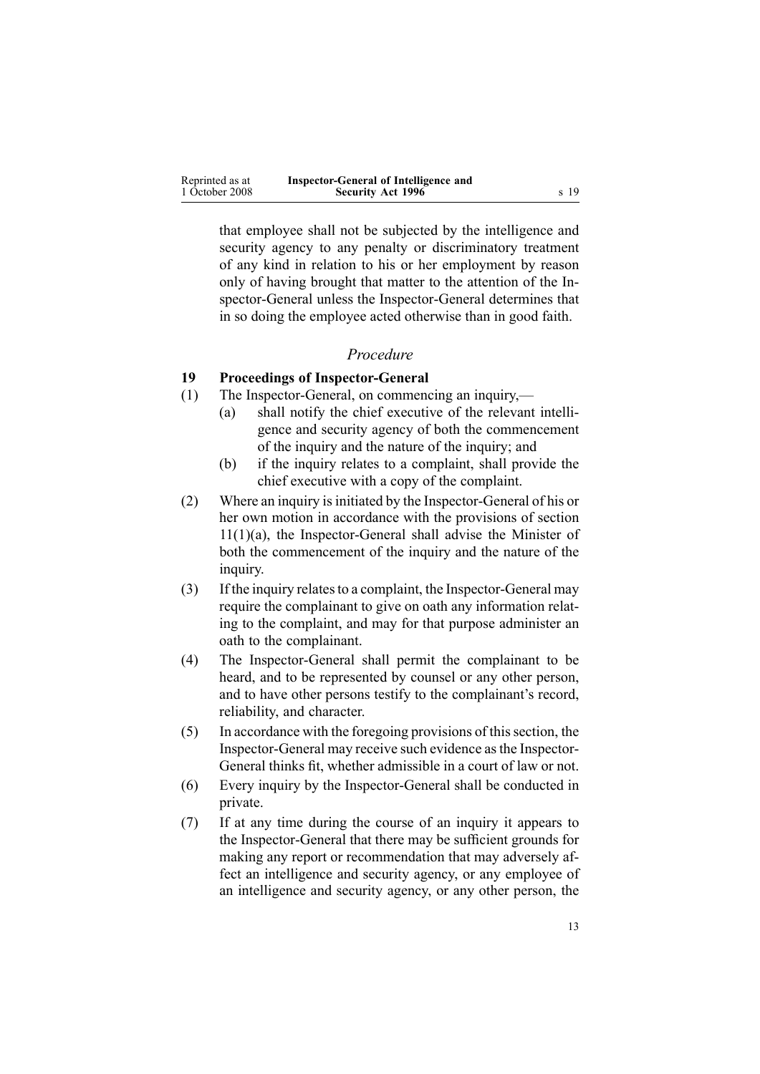<span id="page-12-0"></span>

| Reprinted as at | Inspector-General of Intelligence and |      |
|-----------------|---------------------------------------|------|
| 1 October 2008  | <b>Security Act 1996</b>              | s 19 |

that employee shall not be subjected by the intelligence and security agency to any penalty or discriminatory treatment of any kind in relation to his or her employment by reason only of having brought that matter to the attention of the Inspector-General unless the Inspector-General determines that in so doing the employee acted otherwise than in good faith.

#### *Procedure*

#### **19 Proceedings of Inspector-General**

- (1) The Inspector-General, on commencing an inquiry,—
	- (a) shall notify the chief executive of the relevant intelligence and security agency of both the commencement of the inquiry and the nature of the inquiry; and
	- (b) if the inquiry relates to <sup>a</sup> complaint, shall provide the chief executive with <sup>a</sup> copy of the complaint.
- (2) Where an inquiry isinitiated by the Inspector-General of his or her own motion in accordance with the provisions of [section](#page-7-0) [11\(1\)\(a\)](#page-7-0), the Inspector-General shall advise the Minister of both the commencement of the inquiry and the nature of the inquiry.
- (3) If the inquiry relatesto <sup>a</sup> complaint, the Inspector-General may require the complainant to give on oath any information relating to the complaint, and may for that purpose administer an oath to the complainant.
- (4) The Inspector-General shall permit the complainant to be heard, and to be represented by counsel or any other person, and to have other persons testify to the complainant's record, reliability, and character.
- (5) In accordance with the foregoing provisions of thissection, the Inspector-General may receive such evidence asthe Inspector-General thinks fit, whether admissible in <sup>a</sup> court of law or not.
- (6) Every inquiry by the Inspector-General shall be conducted in private.
- (7) If at any time during the course of an inquiry it appears to the Inspector-General that there may be sufficient grounds for making any repor<sup>t</sup> or recommendation that may adversely affect an intelligence and security agency, or any employee of an intelligence and security agency, or any other person, the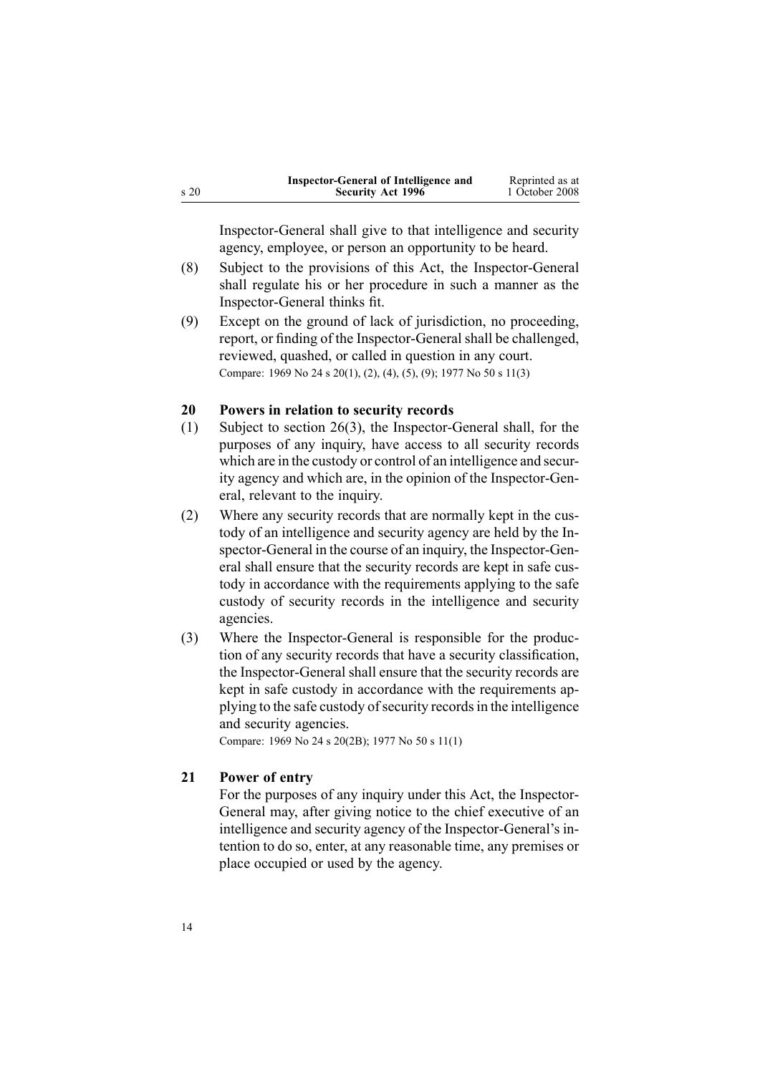<span id="page-13-0"></span>

|      | Inspector-General of Intelligence and | Reprinted as at |
|------|---------------------------------------|-----------------|
| s 20 | <b>Security Act 1996</b>              | 1 October 2008  |

Inspector-General shall give to that intelligence and security agency, employee, or person an opportunity to be heard.

- (8) Subject to the provisions of this Act, the Inspector-General shall regulate his or her procedure in such <sup>a</sup> manner as the Inspector-General thinks fit.
- (9) Except on the ground of lack of jurisdiction, no proceeding, report, or finding of the Inspector-General shall be challenged, reviewed, quashed, or called in question in any court. Compare: 1969 No 24 <sup>s</sup> [20\(1\),](http://www.legislation.govt.nz/pdflink.aspx?id=DLM392040) (2), (4), (5), (9); 1977 No 50 <sup>s</sup> 11(3)

#### **20 Powers in relation to security records**

- (1) Subject to [section](#page-17-0) 26(3), the Inspector-General shall, for the purposes of any inquiry, have access to all security records which are in the custody or control of an intelligence and security agency and which are, in the opinion of the Inspector-General, relevant to the inquiry.
- (2) Where any security records that are normally kept in the custody of an intelligence and security agency are held by the Inspector-General in the course of an inquiry, the Inspector-General shall ensure that the security records are kept in safe custody in accordance with the requirements applying to the safe custody of security records in the intelligence and security agencies.
- (3) Where the Inspector-General is responsible for the production of any security records that have <sup>a</sup> security classification, the Inspector-General shall ensure that the security records are kept in safe custody in accordance with the requirements applying to the safe custody of security records in the intelligence and security agencies.

Compare: 1969 No 24 <sup>s</sup> [20\(2B\)](http://www.legislation.govt.nz/pdflink.aspx?id=DLM392040); 1977 No 50 <sup>s</sup> 11(1)

### **21 Power of entry**

For the purposes of any inquiry under this Act, the Inspector-General may, after giving notice to the chief executive of an intelligence and security agency of the Inspector-General's intention to do so, enter, at any reasonable time, any premises or place occupied or used by the agency.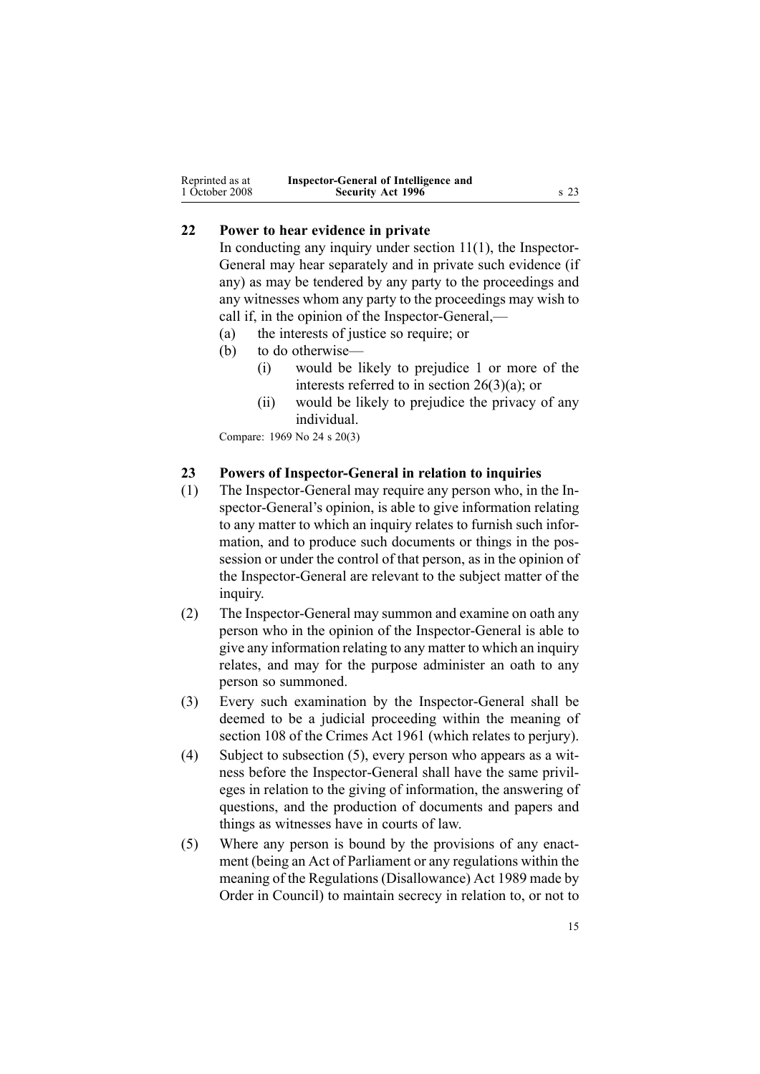<span id="page-14-0"></span>

| Reprinted as at | Inspector-General of Intelligence and |                 |
|-----------------|---------------------------------------|-----------------|
| 1 October 2008  | <b>Security Act 1996</b>              | s <sub>23</sub> |

### **22 Power to hear evidence in private**

In conducting any inquiry under [section](#page-7-0)  $11(1)$ , the Inspector-General may hear separately and in private such evidence (if any) as may be tendered by any party to the proceedings and any witnesses whom any party to the proceedings may wish to call if, in the opinion of the Inspector-General,—

- (a) the interests of justice so require; or
- (b) to do otherwise—
	- (i) would be likely to prejudice 1 or more of the interests referred to in section [26\(3\)\(a\)](#page-17-0); or
	- (ii) would be likely to prejudice the privacy of any individual.

Compare: 1969 No 24 <sup>s</sup> [20\(3\)](http://www.legislation.govt.nz/pdflink.aspx?id=DLM392040)

#### **23 Powers of Inspector-General in relation to inquiries**

- (1) The Inspector-General may require any person who, in the Inspector-General's opinion, is able to give information relating to any matter to which an inquiry relates to furnish such information, and to produce such documents or things in the possession or under the control of that person, as in the opinion of the Inspector-General are relevant to the subject matter of the inquiry.
- (2) The Inspector-General may summon and examine on oath any person who in the opinion of the Inspector-General is able to give any information relating to any matter to which an inquiry relates, and may for the purpose administer an oath to any person so summoned.
- (3) Every such examination by the Inspector-General shall be deemed to be <sup>a</sup> judicial proceeding within the meaning of [section](http://www.legislation.govt.nz/pdflink.aspx?id=DLM328793) 108 of the Crimes Act 1961 (which relates to perjury).
- (4) Subject to subsection (5), every person who appears as <sup>a</sup> witness before the Inspector-General shall have the same privileges in relation to the giving of information, the answering of questions, and the production of documents and papers and things as witnesses have in courts of law.
- (5) Where any person is bound by the provisions of any enactment (being an Act of Parliament or any regulations within the meaning of the Regulations [\(Disallowance\)](http://www.legislation.govt.nz/pdflink.aspx?id=DLM195534) Act 1989 made by Order in Council) to maintain secrecy in relation to, or not to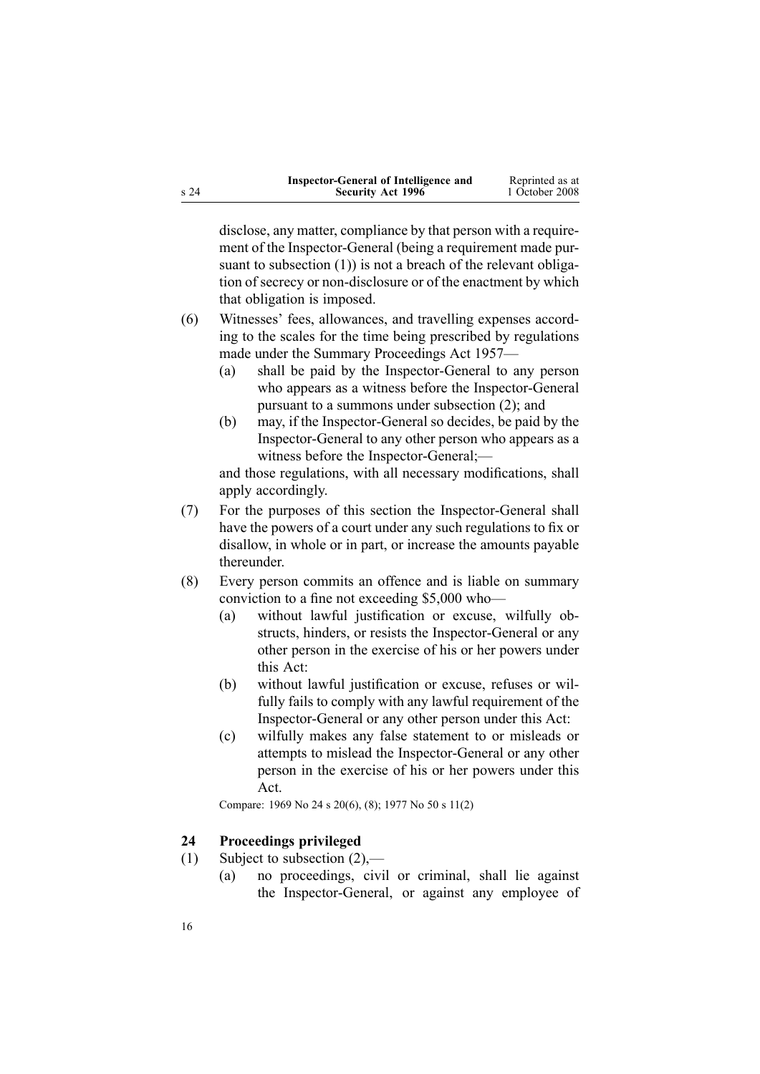<span id="page-15-0"></span>

| Inspector-General of Intelligence and | Reprinted as at |
|---------------------------------------|-----------------|
| <b>Security Act 1996</b>              | 1 October 2008  |

disclose, any matter, compliance by that person with <sup>a</sup> requirement of the Inspector-General (being <sup>a</sup> requirement made pursuant to subsection (1)) is not a breach of the relevant obligation of secrecy or non-disclosure or of the enactment by which that obligation is imposed.

- (6) Witnesses' fees, allowances, and travelling expenses according to the scales for the time being prescribed by regulations made under the Summary [Proceedings](http://www.legislation.govt.nz/pdflink.aspx?id=DLM310742) Act 1957—
	- (a) shall be paid by the Inspector-General to any person who appears as <sup>a</sup> witness before the Inspector-General pursuan<sup>t</sup> to <sup>a</sup> summons under subsection (2); and
	- (b) may, if the Inspector-General so decides, be paid by the Inspector-General to any other person who appears as <sup>a</sup> witness before the Inspector-General;—

and those regulations, with all necessary modifications, shall apply accordingly.

- (7) For the purposes of this section the Inspector-General shall have the powers of <sup>a</sup> court under any such regulations to fix or disallow, in whole or in part, or increase the amounts payable thereunder.
- (8) Every person commits an offence and is liable on summary conviction to <sup>a</sup> fine not exceeding \$5,000 who—
	- (a) without lawful justification or excuse, wilfully obstructs, hinders, or resists the Inspector-General or any other person in the exercise of his or her powers under this Act:
	- (b) without lawful justification or excuse, refuses or wilfully fails to comply with any lawful requirement of the Inspector-General or any other person under this Act:
	- (c) wilfully makes any false statement to or misleads or attempts to mislead the Inspector-General or any other person in the exercise of his or her powers under this Act.

Compare: 1969 No 24 <sup>s</sup> [20\(6\),](http://www.legislation.govt.nz/pdflink.aspx?id=DLM392040) (8); 1977 No 50 <sup>s</sup> 11(2)

#### **24 Proceedings privileged**

16

- (1) Subject to subsection (2),—
	- (a) no proceedings, civil or criminal, shall lie against the Inspector-General, or against any employee of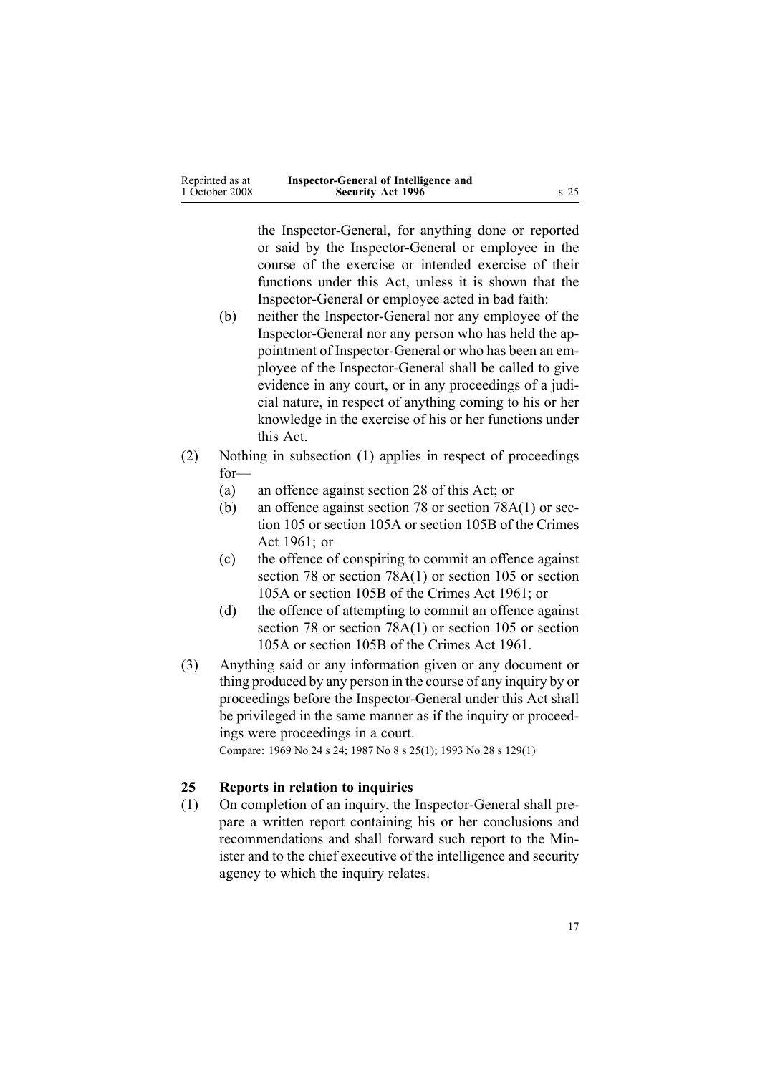<span id="page-16-0"></span>

| Reprinted as at | Inspector-General of Intelligence and |      |
|-----------------|---------------------------------------|------|
| 1 October 2008  | <b>Security Act 1996</b>              | s 25 |

the Inspector-General, for anything done or reported or said by the Inspector-General or employee in the course of the exercise or intended exercise of their functions under this Act, unless it is shown that the Inspector-General or employee acted in bad faith:

- (b) neither the Inspector-General nor any employee of the Inspector-General nor any person who has held the appointment of Inspector-General or who has been an employee of the Inspector-General shall be called to give evidence in any court, or in any proceedings of <sup>a</sup> judicial nature, in respec<sup>t</sup> of anything coming to his or her knowledge in the exercise of his or her functions under this Act.
- (2) Nothing in subsection (1) applies in respec<sup>t</sup> of proceedings for—
	- (a) an offence against [section](#page-20-0) 28 of this Act; or
	- (b) an offence against [section](http://www.legislation.govt.nz/pdflink.aspx?id=DLM328526) 78 or section [78A\(1\)](http://www.legislation.govt.nz/pdflink.aspx?id=DLM328528) or [sec](http://www.legislation.govt.nz/pdflink.aspx?id=DLM328753)[tion](http://www.legislation.govt.nz/pdflink.aspx?id=DLM328753) 105 or [section](http://www.legislation.govt.nz/pdflink.aspx?id=DLM328755) 105A or [section](http://www.legislation.govt.nz/pdflink.aspx?id=DLM328758) 105B of the Crimes Act 1961; or
	- (c) the offence of conspiring to commit an offence against [section](http://www.legislation.govt.nz/pdflink.aspx?id=DLM328526) 78 or section [78A\(1\)](http://www.legislation.govt.nz/pdflink.aspx?id=DLM328528) or [section](http://www.legislation.govt.nz/pdflink.aspx?id=DLM328753) 105 or [section](http://www.legislation.govt.nz/pdflink.aspx?id=DLM328755) [105A](http://www.legislation.govt.nz/pdflink.aspx?id=DLM328755) or [section](http://www.legislation.govt.nz/pdflink.aspx?id=DLM328758) 105B of the Crimes Act 1961; or
	- (d) the offence of attempting to commit an offence against [section](http://www.legislation.govt.nz/pdflink.aspx?id=DLM328526) 78 or section [78A\(1\)](http://www.legislation.govt.nz/pdflink.aspx?id=DLM328528) or [section](http://www.legislation.govt.nz/pdflink.aspx?id=DLM328753) 105 or [section](http://www.legislation.govt.nz/pdflink.aspx?id=DLM328755) [105A](http://www.legislation.govt.nz/pdflink.aspx?id=DLM328755) or [section](http://www.legislation.govt.nz/pdflink.aspx?id=DLM328758) 105B of the Crimes Act 1961.
- (3) Anything said or any information given or any document or thing produced by any person in the course of any inquiry by or proceedings before the Inspector-General under this Act shall be privileged in the same manner as if the inquiry or proceedings were proceedings in <sup>a</sup> court.

Compare: 1969 No 24 <sup>s</sup> [24](http://www.legislation.govt.nz/pdflink.aspx?id=DLM392056); 1987 No 8 <sup>s</sup> [25\(1\)](http://www.legislation.govt.nz/pdflink.aspx?id=DLM101353); 1993 No 28 <sup>s</sup> [129\(1\)](http://www.legislation.govt.nz/pdflink.aspx?id=DLM298439)

### **25 Reports in relation to inquiries**

(1) On completion of an inquiry, the Inspector-General shall prepare <sup>a</sup> written repor<sup>t</sup> containing his or her conclusions and recommendations and shall forward such repor<sup>t</sup> to the Minister and to the chief executive of the intelligence and security agency to which the inquiry relates.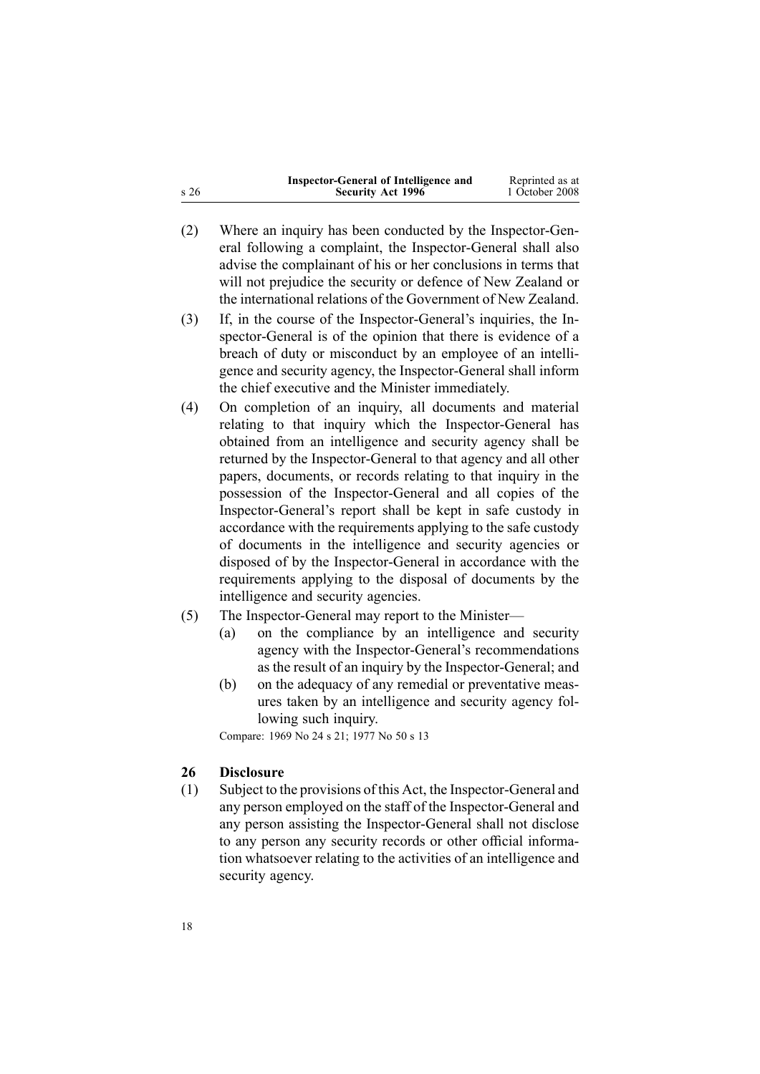<span id="page-17-0"></span>

|      | Inspector-General of Intelligence and | Reprinted as at |
|------|---------------------------------------|-----------------|
| s 26 | <b>Security Act 1996</b>              | 1 October 2008  |

- (2) Where an inquiry has been conducted by the Inspector-General following <sup>a</sup> complaint, the Inspector-General shall also advise the complainant of his or her conclusions in terms that will not prejudice the security or defence of New Zealand or the international relations of the Government of New Zealand.
- (3) If, in the course of the Inspector-General's inquiries, the Inspector-General is of the opinion that there is evidence of <sup>a</sup> breach of duty or misconduct by an employee of an intelligence and security agency, the Inspector-General shall inform the chief executive and the Minister immediately.
- (4) On completion of an inquiry, all documents and material relating to that inquiry which the Inspector-General has obtained from an intelligence and security agency shall be returned by the Inspector-General to that agency and all other papers, documents, or records relating to that inquiry in the possession of the Inspector-General and all copies of the Inspector-General's repor<sup>t</sup> shall be kept in safe custody in accordance with the requirements applying to the safe custody of documents in the intelligence and security agencies or disposed of by the Inspector-General in accordance with the requirements applying to the disposal of documents by the intelligence and security agencies.
- (5) The Inspector-General may repor<sup>t</sup> to the Minister—
	- (a) on the compliance by an intelligence and security agency with the Inspector-General's recommendations as the result of an inquiry by the Inspector-General; and
	- (b) on the adequacy of any remedial or preventative measures taken by an intelligence and security agency following such inquiry.

Compare: 1969 No 24 <sup>s</sup> [21](http://www.legislation.govt.nz/pdflink.aspx?id=DLM392048); 1977 No 50 <sup>s</sup> 13

#### **26 Disclosure**

(1) Subject to the provisions of this Act, the Inspector-General and any person employed on the staff of the Inspector-General and any person assisting the Inspector-General shall not disclose to any person any security records or other official information whatsoever relating to the activities of an intelligence and security agency.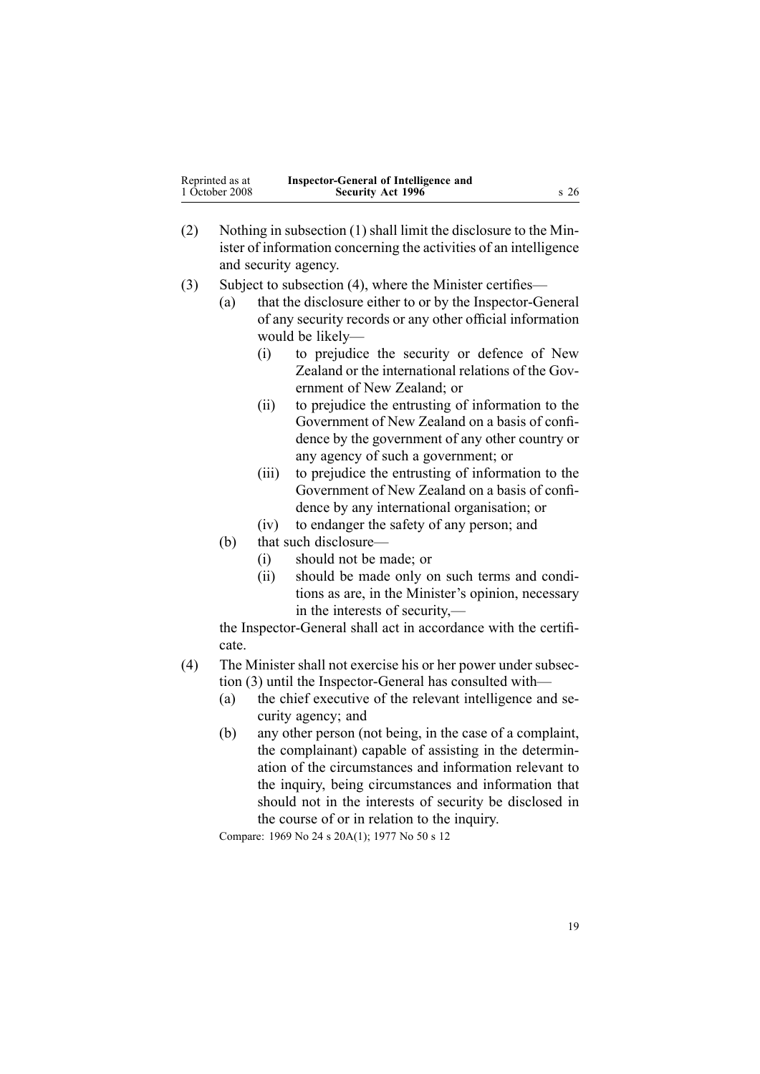| Reprinted as at | Inspector-General of Intelligence and |                 |
|-----------------|---------------------------------------|-----------------|
| 1 October 2008  | <b>Security Act 1996</b>              | s <sub>26</sub> |

- (2) Nothing in subsection (1) shall limit the disclosure to the Minister of information concerning the activities of an intelligence and security agency.
- (3) Subject to subsection (4), where the Minister certifies—
	- (a) that the disclosure either to or by the Inspector-General of any security records or any other official information would be likely—
		- (i) to prejudice the security or defence of New Zealand or the international relations of the Government of New Zealand; or
		- (ii) to prejudice the entrusting of information to the Government of New Zealand on <sup>a</sup> basis of confidence by the governmen<sup>t</sup> of any other country or any agency of such <sup>a</sup> government; or
		- (iii) to prejudice the entrusting of information to the Government of New Zealand on <sup>a</sup> basis of confidence by any international organisation; or
		- (iv) to endanger the safety of any person; and
	- (b) that such disclosure—
		- (i) should not be made; or
		- (ii) should be made only on such terms and conditions as are, in the Minister's opinion, necessary in the interests of security,—

the Inspector-General shall act in accordance with the certificate.

- (4) The Minister shall not exercise his or her power under subsection (3) until the Inspector-General has consulted with—
	- (a) the chief executive of the relevant intelligence and security agency; and
	- (b) any other person (not being, in the case of <sup>a</sup> complaint, the complainant) capable of assisting in the determination of the circumstances and information relevant to the inquiry, being circumstances and information that should not in the interests of security be disclosed in the course of or in relation to the inquiry.

Compare: 1969 No 24 <sup>s</sup> [20A\(1\)](http://www.legislation.govt.nz/pdflink.aspx?id=DLM392045); 1977 No 50 <sup>s</sup> 12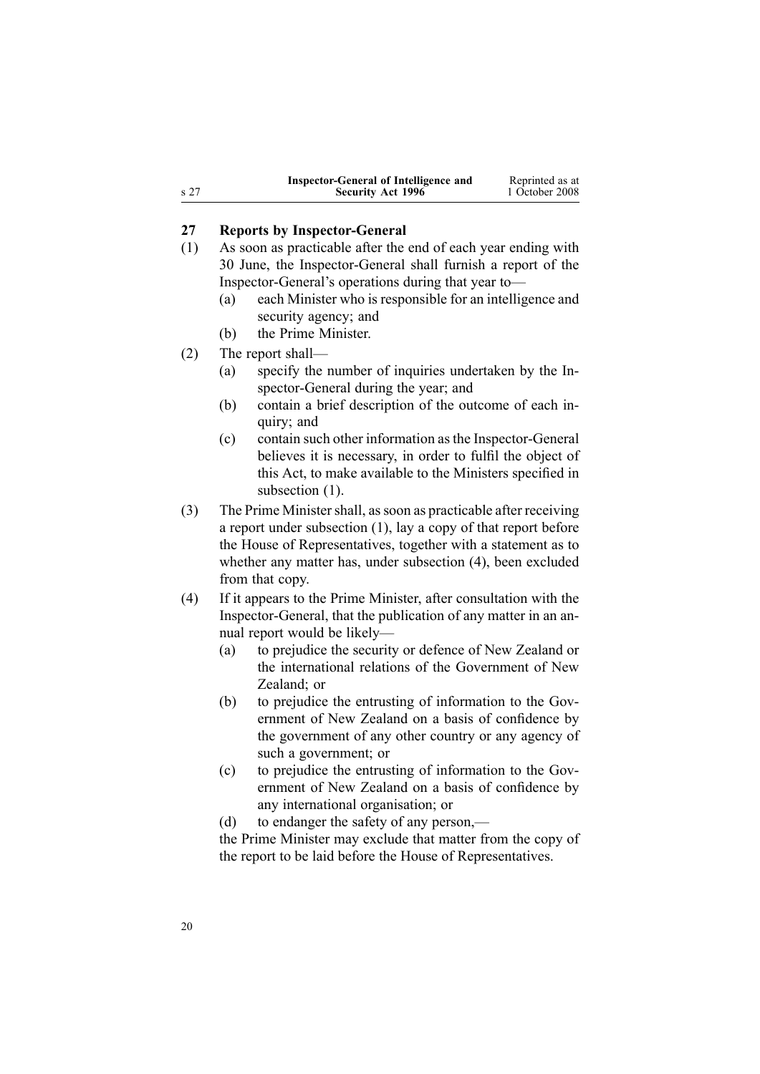<span id="page-19-0"></span>

|      | Inspector-General of Intelligence and | Reprinted as at |
|------|---------------------------------------|-----------------|
| s 27 | <b>Security Act 1996</b>              | 1 October 2008  |

### **27 Reports by Inspector-General**

- (1) As soon as practicable after the end of each year ending with 30 June, the Inspector-General shall furnish <sup>a</sup> repor<sup>t</sup> of the Inspector-General's operations during that year to—
	- (a) each Minister who is responsible for an intelligence and security agency; and
	- (b) the Prime Minister.
- (2) The repor<sup>t</sup> shall—
	- (a) specify the number of inquiries undertaken by the Inspector-General during the year; and
	- (b) contain <sup>a</sup> brief description of the outcome of each inquiry; and
	- (c) contain such other information asthe Inspector-General believes it is necessary, in order to fulfil the object of this Act, to make available to the Ministers specified in subsection  $(1)$ .
- (3) The Prime Ministershall, assoon as practicable after receiving <sup>a</sup> repor<sup>t</sup> under subsection (1), lay <sup>a</sup> copy of that repor<sup>t</sup> before the House of Representatives, together with <sup>a</sup> statement as to whether any matter has, under subsection (4), been excluded from that copy.
- (4) If it appears to the Prime Minister, after consultation with the Inspector-General, that the publication of any matter in an annual repor<sup>t</sup> would be likely—
	- (a) to prejudice the security or defence of New Zealand or the international relations of the Government of New Zealand; or
	- (b) to prejudice the entrusting of information to the Government of New Zealand on <sup>a</sup> basis of confidence by the governmen<sup>t</sup> of any other country or any agency of such <sup>a</sup> government; or
	- (c) to prejudice the entrusting of information to the Government of New Zealand on <sup>a</sup> basis of confidence by any international organisation; or
	- (d) to endanger the safety of any person,—

the Prime Minister may exclude that matter from the copy of the repor<sup>t</sup> to be laid before the House of Representatives.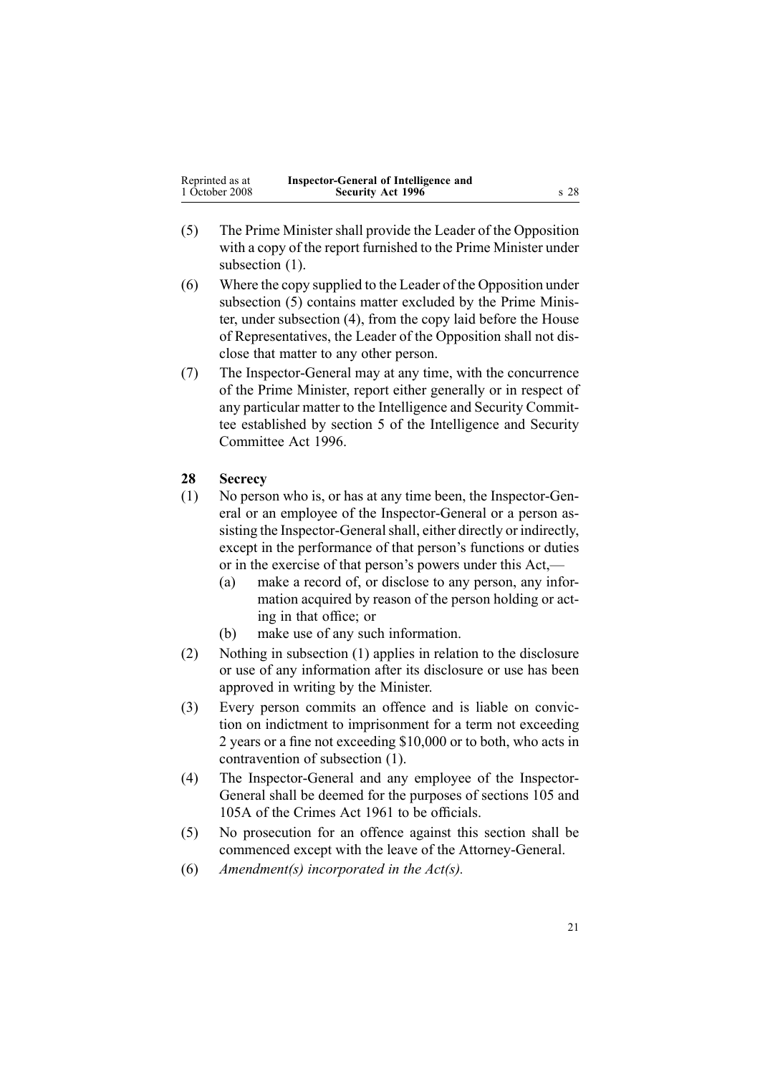<span id="page-20-0"></span>

| Reprinted as at | Inspector-General of Intelligence and |                 |
|-----------------|---------------------------------------|-----------------|
| 1 October 2008  | <b>Security Act 1996</b>              | s <sub>28</sub> |

- (5) The Prime Minister shall provide the Leader of the Opposition with <sup>a</sup> copy of the repor<sup>t</sup> furnished to the Prime Minister under subsection  $(1)$ .
- (6) Where the copy supplied to the Leader of the Opposition under subsection (5) contains matter excluded by the Prime Minister, under subsection (4), from the copy laid before the House of Representatives, the Leader of the Opposition shall not disclose that matter to any other person.
- (7) The Inspector-General may at any time, with the concurrence of the Prime Minister, repor<sup>t</sup> either generally or in respec<sup>t</sup> of any particular matter to the Intelligence and Security Committee established by [section](http://www.legislation.govt.nz/pdflink.aspx?id=DLM392266) 5 of the Intelligence and Security Committee Act 1996.

### **28 Secrecy**

- (1) No person who is, or has at any time been, the Inspector-General or an employee of the Inspector-General or <sup>a</sup> person assisting the Inspector-General shall, either directly or indirectly, excep<sup>t</sup> in the performance of that person's functions or duties or in the exercise of that person's powers under this Act,—
	- (a) make <sup>a</sup> record of, or disclose to any person, any information acquired by reason of the person holding or acting in that office; or
	- (b) make use of any such information.
- (2) Nothing in subsection (1) applies in relation to the disclosure or use of any information after its disclosure or use has been approved in writing by the Minister.
- (3) Every person commits an offence and is liable on conviction on indictment to imprisonment for <sup>a</sup> term not exceeding 2 years or <sup>a</sup> fine not exceeding \$10,000 or to both, who acts in contravention of subsection (1).
- (4) The Inspector-General and any employee of the Inspector-General shall be deemed for the purposes of [sections](http://www.legislation.govt.nz/pdflink.aspx?id=DLM328753) 105 and [105A](http://www.legislation.govt.nz/pdflink.aspx?id=DLM328755) of the Crimes Act 1961 to be officials.
- (5) No prosecution for an offence against this section shall be commenced excep<sup>t</sup> with the leave of the Attorney-General.
- (6) *Amendment(s) incorporated in the [Act\(s\).](http://www.legislation.govt.nz/pdflink.aspx?id=DLM311185)*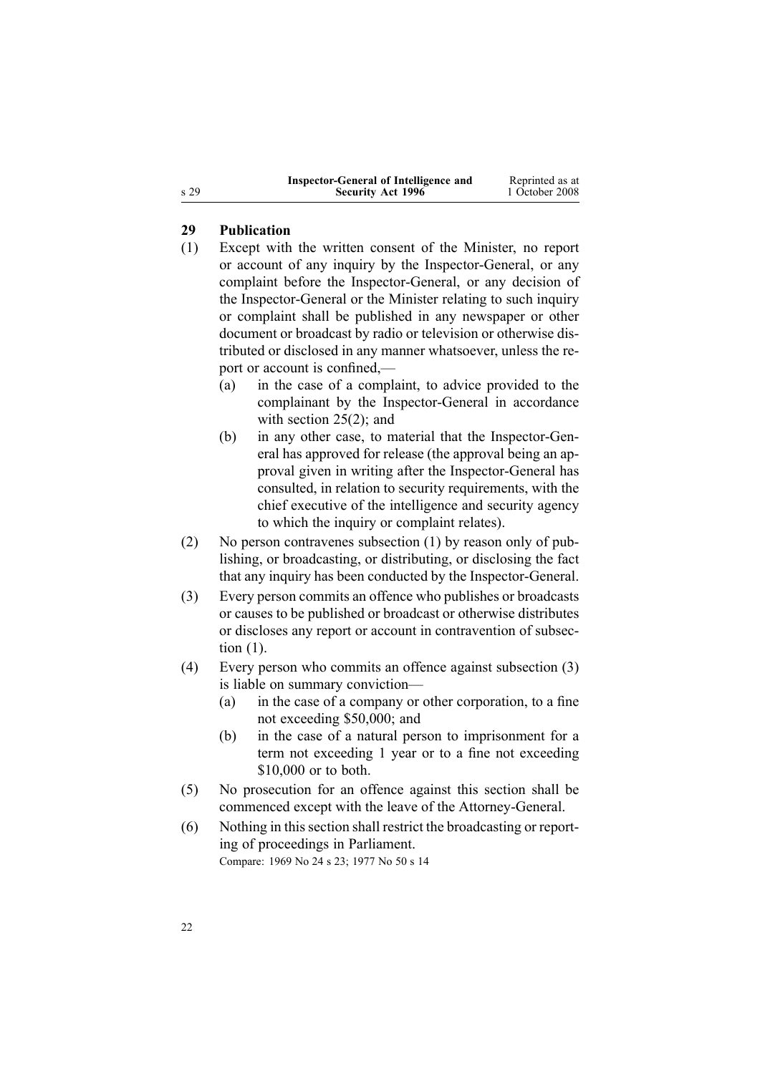| Inspector-General of Intelligence and | Reprinted as at |
|---------------------------------------|-----------------|
| <b>Security Act 1996</b>              | 1 October 2008  |

### **29 Publication**

- (1) Except with the written consent of the Minister, no repor<sup>t</sup> or account of any inquiry by the Inspector-General, or any complaint before the Inspector-General, or any decision of the Inspector-General or the Minister relating to such inquiry or complaint shall be published in any newspaper or other document or broadcast by radio or television or otherwise distributed or disclosed in any manner whatsoever, unless the repor<sup>t</sup> or account is confined,—
	- (a) in the case of <sup>a</sup> complaint, to advice provided to the complainant by the Inspector-General in accordance with [section](#page-16-0) 25(2); and
	- (b) in any other case, to material that the Inspector-General has approved for release (the approval being an approval given in writing after the Inspector-General has consulted, in relation to security requirements, with the chief executive of the intelligence and security agency to which the inquiry or complaint relates).
- (2) No person contravenes subsection (1) by reason only of publishing, or broadcasting, or distributing, or disclosing the fact that any inquiry has been conducted by the Inspector-General.
- (3) Every person commits an offence who publishes or broadcasts or causes to be published or broadcast or otherwise distributes or discloses any repor<sup>t</sup> or account in contravention of subsection (1).
- (4) Every person who commits an offence against subsection (3) is liable on summary conviction—
	- (a) in the case of <sup>a</sup> company or other corporation, to <sup>a</sup> fine not exceeding \$50,000; and
	- (b) in the case of <sup>a</sup> natural person to imprisonment for <sup>a</sup> term not exceeding 1 year or to <sup>a</sup> fine not exceeding \$10,000 or to both.
- (5) No prosecution for an offence against this section shall be commenced excep<sup>t</sup> with the leave of the Attorney-General.
- (6) Nothing in thissection shall restrict the broadcasting or reporting of proceedings in Parliament. Compare: 1969 No 24 <sup>s</sup> [23](http://www.legislation.govt.nz/pdflink.aspx?id=DLM392053); 1977 No 50 <sup>s</sup> 14

<span id="page-21-0"></span><sup>s</sup> 29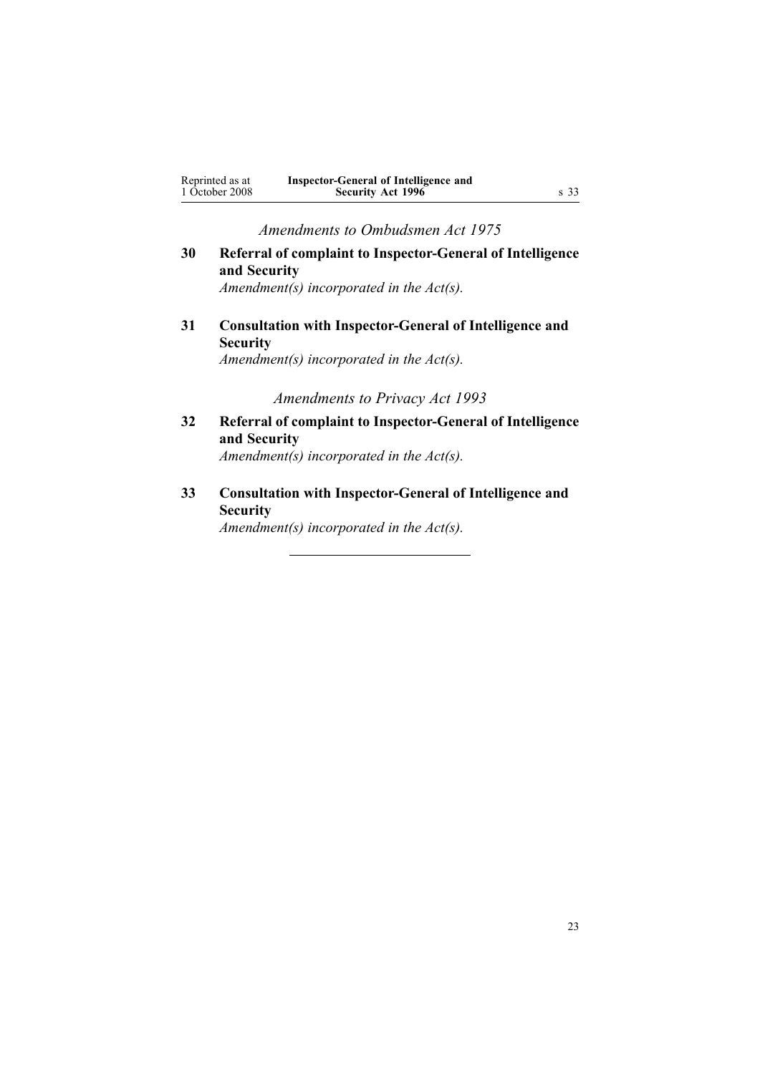<span id="page-22-0"></span>

| Reprinted as at | Inspector-General of Intelligence and |      |
|-----------------|---------------------------------------|------|
| 1 October 2008  | <b>Security Act 1996</b>              | s 33 |

*Amendments to Ombudsmen Act 1975*

# **30 Referral of complaint to Inspector-General of Intelligence and Security**

*Amendment(s) incorporated in the [Act\(s\).](http://www.legislation.govt.nz/pdflink.aspx?id=DLM430983)*

**31 Consultation with Inspector-General of Intelligence and Security**

*Amendment(s) incorporated in the [Act\(s\).](http://www.legislation.govt.nz/pdflink.aspx?id=DLM430983)*

### *Amendments to Privacy Act 1993*

**32 Referral of complaint to Inspector-General of Intelligence and Security** *Amendment(s) incorporated in the [Act\(s\).](http://www.legislation.govt.nz/pdflink.aspx?id=DLM297450)*

**33 Consultation with Inspector-General of Intelligence and Security**

*Amendment(s) incorporated in the [Act\(s\).](http://www.legislation.govt.nz/pdflink.aspx?id=DLM298415)*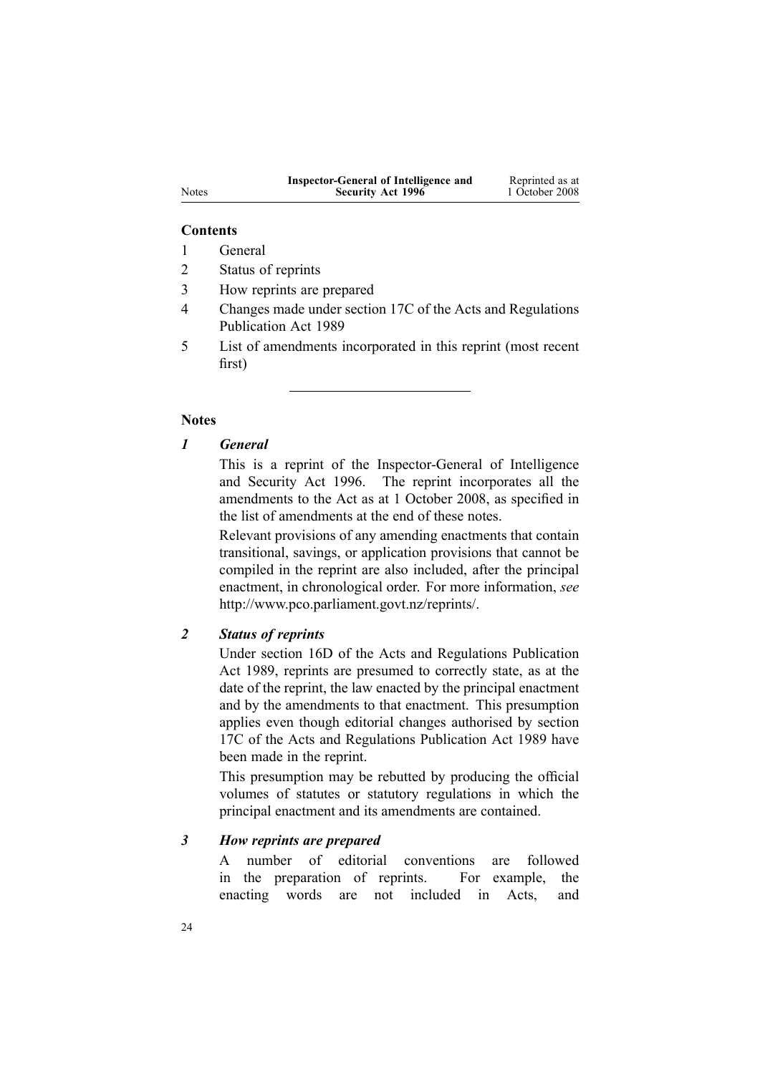| Inspector-General of Intelligence and | Reprinted as at |
|---------------------------------------|-----------------|
| <b>Security Act 1996</b>              | 1 October 2008  |

#### **Contents**

1 General

2 Status of reprints

3 How reprints are prepared

4 Changes made under section 17C of the Acts and Regulations Publication Act 1989

5 List of amendments incorporated in this reprint (most recent first)

### **Notes**

### *1 General*

This is <sup>a</sup> reprint of the Inspector-General of Intelligence and Security Act 1996. The reprint incorporates all the amendments to the Act as at 1 October 2008, as specified in the list of amendments at the end of these notes.

Relevant provisions of any amending enactments that contain transitional, savings, or application provisions that cannot be compiled in the reprint are also included, after the principal enactment, in chronological order. For more information, *see* <http://www.pco.parliament.govt.nz/reprints/>.

### *2 Status of reprints*

Under [section](http://www.legislation.govt.nz/pdflink.aspx?id=DLM195439) 16D of the Acts and Regulations Publication Act 1989, reprints are presumed to correctly state, as at the date of the reprint, the law enacted by the principal enactment and by the amendments to that enactment. This presumption applies even though editorial changes authorised by [section](http://www.legislation.govt.nz/pdflink.aspx?id=DLM195466) [17C](http://www.legislation.govt.nz/pdflink.aspx?id=DLM195466) of the Acts and Regulations Publication Act 1989 have been made in the reprint.

This presumption may be rebutted by producing the official volumes of statutes or statutory regulations in which the principal enactment and its amendments are contained.

#### *3 How reprints are prepared*

A number of editorial conventions are followed in the preparation of reprints. For example, the enacting words are not included in Acts, and

Notes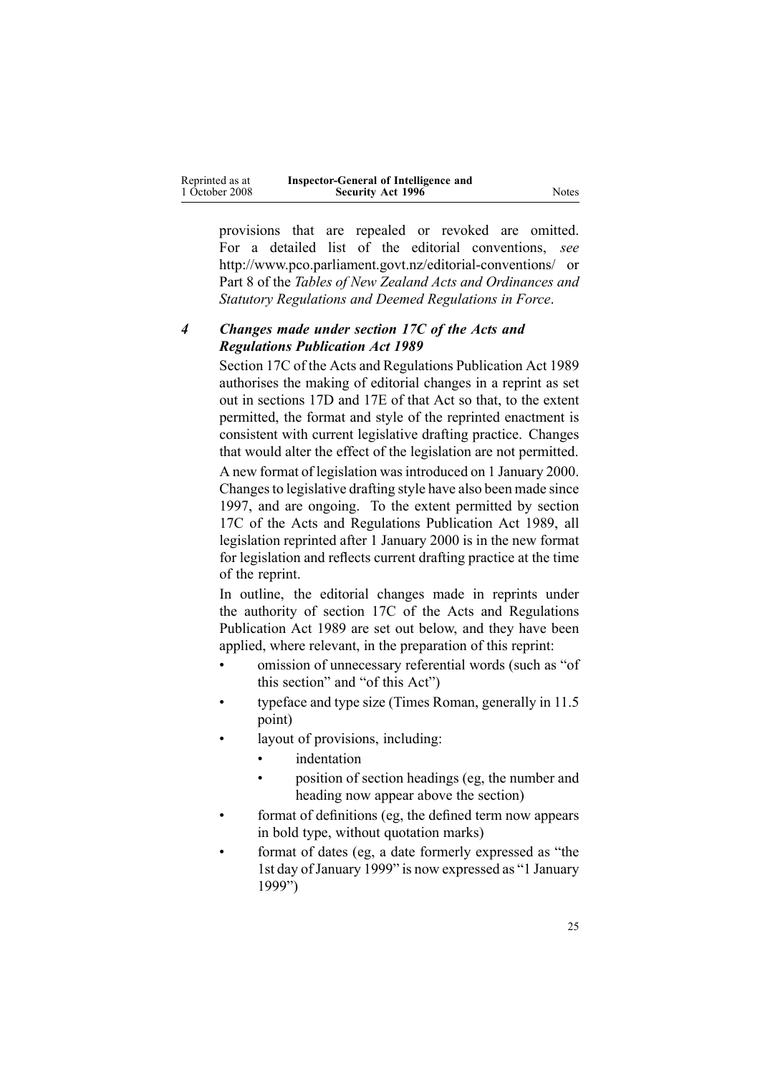| Reprinted as at | Inspector-General of Intelligence and |       |
|-----------------|---------------------------------------|-------|
| 1 October 2008  | <b>Security Act 1996</b>              | Notes |

provisions that are repealed or revoked are omitted. For <sup>a</sup> detailed list of the editorial conventions, *see* [http://www.pco.parliament.govt.nz/editorial-conventions/](http://www.pco.parliament.govt.nz/editorial-conventions/ ) or Part 8 of the *Tables of New Zealand Acts and Ordinances and Statutory Regulations and Deemed Regulations in Force*.

### *4 Changes made under section 17C of the Acts and Regulations Publication Act 1989*

[Section](http://www.legislation.govt.nz/pdflink.aspx?id=DLM195466) 17C of the Acts and Regulations Publication Act 1989 authorises the making of editorial changes in <sup>a</sup> reprint as set out in [sections](http://www.legislation.govt.nz/pdflink.aspx?id=DLM195468) 17D and [17E](http://www.legislation.govt.nz/pdflink.aspx?id=DLM195470) of that Act so that, to the extent permitted, the format and style of the reprinted enactment is consistent with current legislative drafting practice. Changes that would alter the effect of the legislation are not permitted.

A new format of legislation wasintroduced on 1 January 2000. Changes to legislative drafting style have also been made since 1997, and are ongoing. To the extent permitted by [section](http://www.legislation.govt.nz/pdflink.aspx?id=DLM195466) [17C](http://www.legislation.govt.nz/pdflink.aspx?id=DLM195466) of the Acts and Regulations Publication Act 1989, all legislation reprinted after 1 January 2000 is in the new format for legislation and reflects current drafting practice at the time of the reprint.

In outline, the editorial changes made in reprints under the authority of [section](http://www.legislation.govt.nz/pdflink.aspx?id=DLM195466) 17C of the Acts and Regulations Publication Act 1989 are set out below, and they have been applied, where relevant, in the preparation of this reprint:

- • omission of unnecessary referential words (such as "of this section" and "of this Act")
- • typeface and type size (Times Roman, generally in 11.5 point)
- • layout of provisions, including:
	- •indentation
	- • position of section headings (eg, the number and heading now appear above the section)
- • format of definitions (eg, the defined term now appears in bold type, without quotation marks)
- • format of dates (eg, <sup>a</sup> date formerly expressed as "the 1st day of January 1999" is now expressed as "1 January 1999")